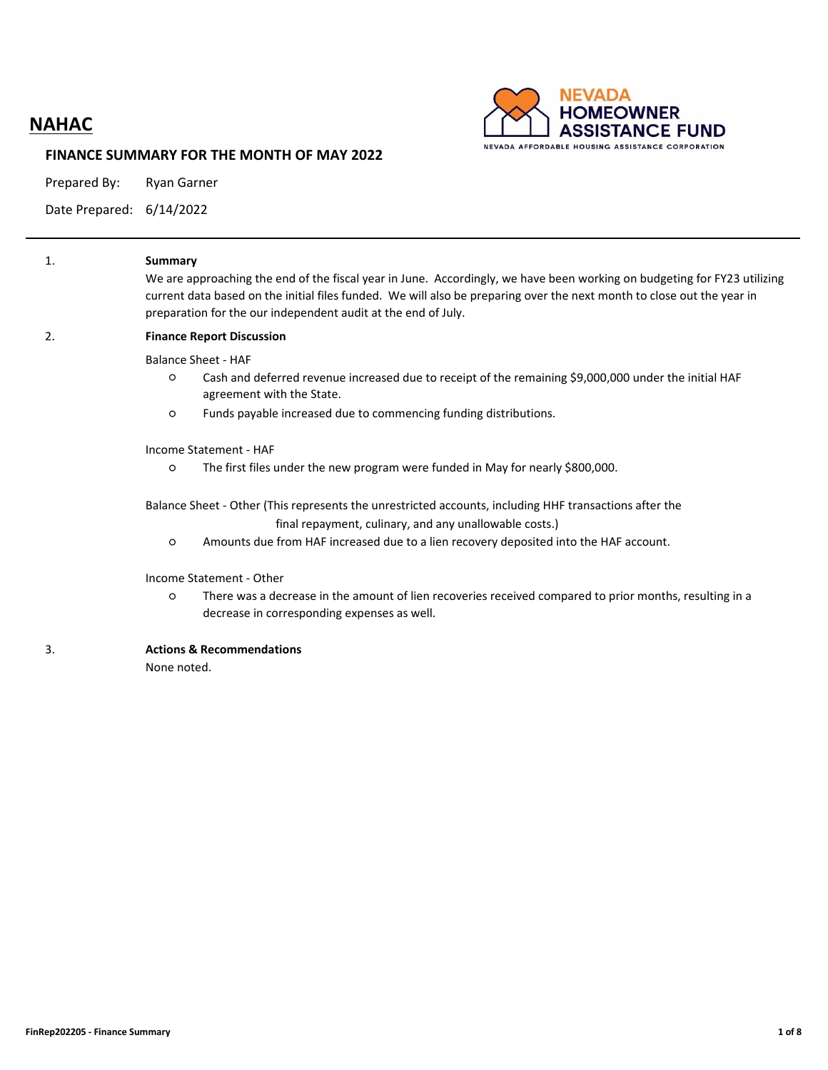# **NAHAC**



#### **FINANCE SUMMARY FOR THE MONTH OF MAY 2022**

Prepared By: Ryan Garner

Date Prepared: 6/14/2022

| 1. | Summary<br>We are approaching the end of the fiscal year in June. Accordingly, we have been working on budgeting for FY23 utilizing<br>current data based on the initial files funded. We will also be preparing over the next month to close out the year in<br>preparation for the our independent audit at the end of July. |  |  |  |  |  |  |  |  |  |  |  |
|----|--------------------------------------------------------------------------------------------------------------------------------------------------------------------------------------------------------------------------------------------------------------------------------------------------------------------------------|--|--|--|--|--|--|--|--|--|--|--|
| 2. | <b>Finance Report Discussion</b>                                                                                                                                                                                                                                                                                               |  |  |  |  |  |  |  |  |  |  |  |
|    | <b>Balance Sheet - HAF</b>                                                                                                                                                                                                                                                                                                     |  |  |  |  |  |  |  |  |  |  |  |
|    | Cash and deferred revenue increased due to receipt of the remaining \$9,000,000 under the initial HAF<br>$\circ$<br>agreement with the State.                                                                                                                                                                                  |  |  |  |  |  |  |  |  |  |  |  |
|    | Funds payable increased due to commencing funding distributions.<br>$\circ$                                                                                                                                                                                                                                                    |  |  |  |  |  |  |  |  |  |  |  |
|    | Income Statement - HAF                                                                                                                                                                                                                                                                                                         |  |  |  |  |  |  |  |  |  |  |  |
|    | The first files under the new program were funded in May for nearly \$800,000.<br>$\circ$                                                                                                                                                                                                                                      |  |  |  |  |  |  |  |  |  |  |  |
|    | Balance Sheet - Other (This represents the unrestricted accounts, including HHF transactions after the                                                                                                                                                                                                                         |  |  |  |  |  |  |  |  |  |  |  |
|    | final repayment, culinary, and any unallowable costs.)                                                                                                                                                                                                                                                                         |  |  |  |  |  |  |  |  |  |  |  |
|    | Amounts due from HAF increased due to a lien recovery deposited into the HAF account.<br>$\circ$                                                                                                                                                                                                                               |  |  |  |  |  |  |  |  |  |  |  |
|    | Income Statement - Other                                                                                                                                                                                                                                                                                                       |  |  |  |  |  |  |  |  |  |  |  |
|    | There was a decrease in the amount of lien recoveries received compared to prior months, resulting in a<br>$\circ$<br>decrease in corresponding expenses as well.                                                                                                                                                              |  |  |  |  |  |  |  |  |  |  |  |
| 3. | <b>Actions &amp; Recommendations</b>                                                                                                                                                                                                                                                                                           |  |  |  |  |  |  |  |  |  |  |  |
|    |                                                                                                                                                                                                                                                                                                                                |  |  |  |  |  |  |  |  |  |  |  |

None noted.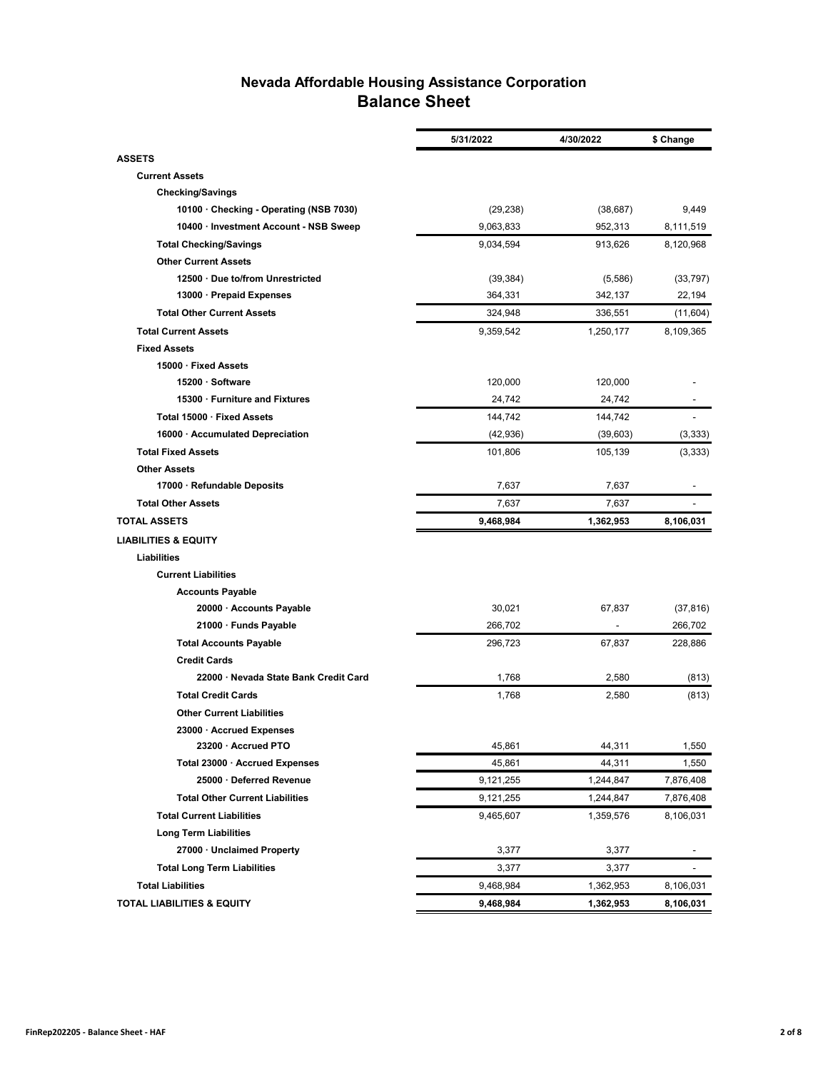### **Nevada Affordable Housing Assistance Corporation Balance Sheet**

|                                         | 5/31/2022 | 4/30/2022                | \$ Change                |
|-----------------------------------------|-----------|--------------------------|--------------------------|
| <b>ASSETS</b>                           |           |                          |                          |
| <b>Current Assets</b>                   |           |                          |                          |
| <b>Checking/Savings</b>                 |           |                          |                          |
| 10100 · Checking - Operating (NSB 7030) | (29, 238) | (38, 687)                | 9,449                    |
| 10400 · Investment Account - NSB Sweep  | 9,063,833 | 952,313                  | 8,111,519                |
| <b>Total Checking/Savings</b>           | 9,034,594 | 913,626                  | 8,120,968                |
| <b>Other Current Assets</b>             |           |                          |                          |
| 12500 Due to/from Unrestricted          | (39, 384) | (5,586)                  | (33, 797)                |
| 13000 · Prepaid Expenses                | 364,331   | 342,137                  | 22,194                   |
| <b>Total Other Current Assets</b>       | 324,948   | 336,551                  | (11,604)                 |
| <b>Total Current Assets</b>             | 9,359,542 | 1,250,177                | 8,109,365                |
| <b>Fixed Assets</b>                     |           |                          |                          |
| 15000 · Fixed Assets                    |           |                          |                          |
| 15200 · Software                        | 120,000   | 120,000                  |                          |
| 15300 · Furniture and Fixtures          | 24,742    | 24,742                   |                          |
| Total 15000 · Fixed Assets              | 144,742   | 144,742                  | $\blacksquare$           |
| 16000 · Accumulated Depreciation        | (42, 936) | (39,603)                 | (3, 333)                 |
| <b>Total Fixed Assets</b>               | 101,806   | 105,139                  | (3, 333)                 |
| <b>Other Assets</b>                     |           |                          |                          |
| 17000 · Refundable Deposits             | 7,637     | 7,637                    |                          |
| <b>Total Other Assets</b>               | 7,637     | 7,637                    | $\overline{\phantom{a}}$ |
| <b>TOTAL ASSETS</b>                     | 9,468,984 | 1,362,953                | 8,106,031                |
| <b>LIABILITIES &amp; EQUITY</b>         |           |                          |                          |
| <b>Liabilities</b>                      |           |                          |                          |
| <b>Current Liabilities</b>              |           |                          |                          |
| <b>Accounts Payable</b>                 |           |                          |                          |
| 20000 · Accounts Payable                | 30,021    | 67,837                   | (37, 816)                |
| 21000 · Funds Payable                   | 266,702   | $\overline{\phantom{a}}$ | 266,702                  |
| <b>Total Accounts Payable</b>           | 296,723   | 67,837                   | 228,886                  |
| <b>Credit Cards</b>                     |           |                          |                          |
| 22000 · Nevada State Bank Credit Card   | 1,768     | 2,580                    | (813)                    |
| <b>Total Credit Cards</b>               | 1,768     | 2,580                    | (813)                    |
| <b>Other Current Liabilities</b>        |           |                          |                          |
| 23000 · Accrued Expenses                |           |                          |                          |
| 23200 · Accrued PTO                     | 45,861    | 44,311                   | 1,550                    |
| Total 23000 · Accrued Expenses          | 45,861    | 44,311                   | 1,550                    |
| 25000 · Deferred Revenue                | 9,121,255 | 1,244,847                | 7,876,408                |
| <b>Total Other Current Liabilities</b>  | 9,121,255 | 1,244,847                | 7,876,408                |
| <b>Total Current Liabilities</b>        | 9,465,607 | 1,359,576                | 8,106,031                |
| <b>Long Term Liabilities</b>            |           |                          |                          |
| 27000 · Unclaimed Property              | 3,377     | 3,377                    |                          |
| <b>Total Long Term Liabilities</b>      | 3,377     | 3,377                    | -                        |
| <b>Total Liabilities</b>                | 9,468,984 | 1,362,953                | 8,106,031                |
| <b>TOTAL LIABILITIES &amp; EQUITY</b>   | 9,468,984 | 1,362,953                | 8,106,031                |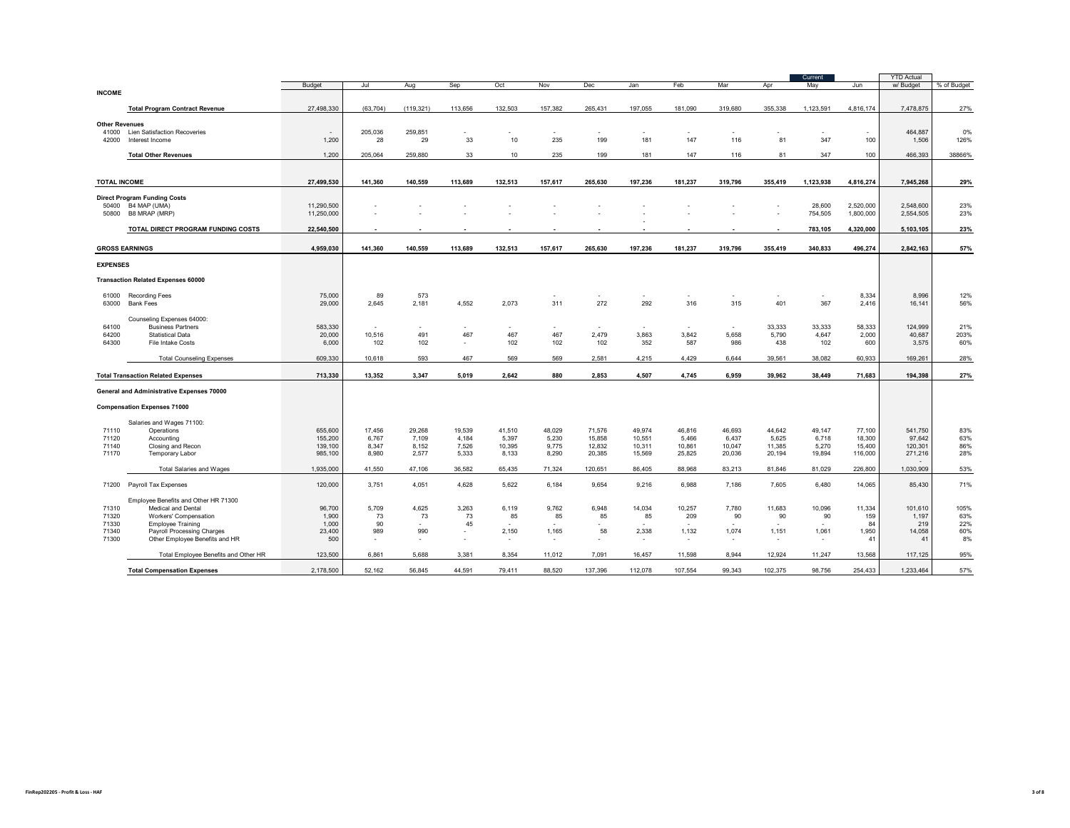|                                |                                                              |                    |                |                |                               |                 |                                   |                          |                                   |                 |                  |                  | Current         |                   | <b>YTD Actual</b>  |             |
|--------------------------------|--------------------------------------------------------------|--------------------|----------------|----------------|-------------------------------|-----------------|-----------------------------------|--------------------------|-----------------------------------|-----------------|------------------|------------------|-----------------|-------------------|--------------------|-------------|
| <b>INCOME</b>                  |                                                              | Budget             | Jul            | Aug            | Sep                           | Oct             | Nov                               | Dec                      | Jan                               | Feb             | Mar              | Apr              | May             | Jun               | w/ Budget          | % of Budget |
|                                |                                                              |                    |                |                |                               |                 |                                   |                          |                                   |                 |                  |                  |                 |                   |                    |             |
|                                | <b>Total Program Contract Revenue</b>                        | 27.498.330         | (63.704)       | (119.321)      | 113.656                       | 132.503         | 157.382                           | 265.431                  | 197.055                           | 181.090         | 319,680          | 355,338          | 1.123.591       | 4.816.174         | 7.478.875          | 27%         |
| <b>Other Revenues</b><br>41000 | Lien Satisfaction Recoveries                                 |                    | 205,036        | 259,851        |                               |                 |                                   |                          |                                   |                 |                  |                  |                 |                   | 464,887            | 0%          |
| 42000                          | Interest Income                                              | 1,200              | 28             | 29             | 33                            | 10              | 235                               | 199                      | 181                               | 147             | 116              | 81               | 347             | 100               | 1,506              | 126%        |
|                                | <b>Total Other Revenues</b>                                  | 1.200              | 205.064        | 259.880        | 33                            | 10              | 235                               | 199                      | 181                               | 147             | 116              | 81               | 347             | 100               | 466.393            | 38866%      |
|                                |                                                              |                    |                |                |                               |                 |                                   |                          |                                   |                 |                  |                  |                 |                   |                    |             |
| <b>TOTAL INCOME</b>            |                                                              | 27.499.530         | 141.360        | 140.559        | 113,689                       | 132,513         | 157,617                           | 265,630                  | 197,236                           | 181,237         | 319,796          | 355.419          | 1,123,938       | 4,816,274         | 7,945,268          | 29%         |
|                                |                                                              |                    |                |                |                               |                 |                                   |                          |                                   |                 |                  |                  |                 |                   |                    |             |
| 50400                          | <b>Direct Program Funding Costs</b><br>B4 MAP (UMA)          | 11,290,500         |                |                |                               |                 |                                   |                          |                                   |                 |                  |                  | 28,600          | 2,520,000         | 2,548,600          | 23%         |
| 50800                          | B8 MRAP (MRP)                                                | 11,250,000         |                |                |                               |                 |                                   |                          |                                   |                 |                  |                  | 754,505         | 1,800,000         | 2,554,505          | 23%         |
|                                | TOTAL DIRECT PROGRAM FUNDING COSTS                           | 22,540,500         |                |                |                               |                 |                                   |                          |                                   |                 |                  |                  | 783,105         | 4,320,000         | 5,103,105          | 23%         |
|                                |                                                              |                    |                |                |                               |                 |                                   |                          |                                   |                 |                  |                  |                 |                   |                    |             |
| <b>GROSS EARNINGS</b>          |                                                              | 4,959,030          | 141,360        | 140,559        | 113,689                       | 132,513         | 157,617                           | 265,630                  | 197,236                           | 181,237         | 319,796          | 355,419          | 340,833         | 496,274           | 2,842,163          | 57%         |
| <b>EXPENSES</b>                |                                                              |                    |                |                |                               |                 |                                   |                          |                                   |                 |                  |                  |                 |                   |                    |             |
|                                | <b>Transaction Related Expenses 60000</b>                    |                    |                |                |                               |                 |                                   |                          |                                   |                 |                  |                  |                 |                   |                    |             |
|                                |                                                              |                    |                |                |                               |                 |                                   |                          |                                   |                 |                  |                  |                 |                   |                    |             |
| 61000<br>63000                 | <b>Recording Fees</b><br><b>Bank Fees</b>                    | 75,000<br>29,000   | 89<br>2,645    | 573<br>2,181   | 4,552                         | 2,073           | 311                               | 272                      | ٠<br>292                          | $\sim$<br>316   | $\sim$<br>315    | $\sim$<br>401    | ٠<br>367        | 8,334<br>2,416    | 8,996<br>16,141    | 12%<br>56%  |
|                                |                                                              |                    |                |                |                               |                 |                                   |                          |                                   |                 |                  |                  |                 |                   |                    |             |
| 64100                          | Counseling Expenses 64000:<br><b>Business Partners</b>       | 583.330            |                |                |                               |                 |                                   |                          |                                   |                 |                  | 33.333           | 33.333          | 58.333            | 124.999            | 21%         |
| 64200                          | <b>Statistical Data</b>                                      | 20,000             | 10.516         | 491            | 467                           | 467             | 467                               | 2,479                    | $\overline{\phantom{a}}$<br>3,863 | 3,842           | $\sim$<br>5,658  | 5,790            | 4,647           | 2,000             | 40,687             | 203%        |
| 64300                          | File Intake Costs                                            | 6,000              | 102            | 102            | ٠                             | 102             | 102                               | 102                      | 352                               | 587             | 986              | 438              | 102             | 600               | 3,575              | 60%         |
|                                | <b>Total Counseling Expenses</b>                             | 609,330            | 10,618         | 593            | 467                           | 569             | 569                               | 2,581                    | 4,215                             | 4,429           | 6,644            | 39,561           | 38,082          | 60,933            | 169,261            | 28%         |
|                                |                                                              |                    |                |                |                               |                 |                                   |                          |                                   |                 |                  |                  |                 |                   |                    |             |
|                                | <b>Total Transaction Related Expenses</b>                    | 713.330            | 13.352         | 3.347          | 5.019                         | 2.642           | 880                               | 2.853                    | 4.507                             | 4,745           | 6,959            | 39.962           | 38.449          | 71.683            | 194.398            | 27%         |
|                                | General and Administrative Expenses 70000                    |                    |                |                |                               |                 |                                   |                          |                                   |                 |                  |                  |                 |                   |                    |             |
|                                | <b>Compensation Expenses 71000</b>                           |                    |                |                |                               |                 |                                   |                          |                                   |                 |                  |                  |                 |                   |                    |             |
|                                |                                                              |                    |                |                |                               |                 |                                   |                          |                                   |                 |                  |                  |                 |                   |                    |             |
| 71110                          | Salaries and Wages 71100:<br>Operations                      | 655,600            | 17,456         | 29.268         | 19,539                        | 41,510          | 48,029                            | 71.576                   | 49.974                            | 46,816          | 46,693           | 44,642           | 49.147          | 77,100            | 541.750            | 83%         |
| 71120                          | Accounting                                                   | 155,200            | 6.767          | 7.109          | 4.184                         | 5,397           | 5.230                             | 15,858                   | 10.551                            | 5.466           | 6,437            | 5,625            | 6.718           | 18,300            | 97.642             | 63%         |
| 71140<br>71170                 | Closing and Recon                                            | 139,100<br>985,100 | 8,347<br>8,980 | 8,152<br>2,577 | 7,526<br>5,333                | 10,395<br>8,133 | 9,775<br>8,290                    | 12,832<br>20,385         | 10,311                            | 10,861          | 10,047<br>20,036 | 11,385<br>20,194 | 5,270<br>19,894 | 15,400<br>116,000 | 120,301<br>271,216 | 86%<br>28%  |
|                                | Temporary Labor                                              |                    |                |                |                               |                 |                                   |                          | 15,569                            | 25,825          |                  |                  |                 |                   |                    |             |
|                                | <b>Total Salaries and Wages</b>                              | 1,935,000          | 41,550         | 47,106         | 36,582                        | 65,435          | 71,324                            | 120,651                  | 86,405                            | 88,968          | 83,213           | 81,846           | 81,029          | 226,800           | 1,030,909          | 53%         |
| 71200                          | Payroll Tax Expenses                                         | 120,000            | 3.751          | 4.051          | 4.628                         | 5,622           | 6,184                             | 9,654                    | 9,216                             | 6,988           | 7,186            | 7,605            | 6.480           | 14,065            | 85.430             | 71%         |
|                                | Employee Benefits and Other HR 71300                         |                    |                |                |                               |                 |                                   |                          |                                   |                 |                  |                  |                 |                   |                    |             |
| 71310                          | Medical and Dental                                           | 96,700             | 5,709          | 4,625          | 3,263                         | 6,119           | 9,762                             | 6,948                    | 14,034                            | 10,257          | 7,780            | 11,683           | 10,096          | 11,334            | 101,610            | 105%        |
| 71320                          | Workers' Compensation                                        | 1,900              | 73             | 73             | 73                            | 85              | 85                                | 85                       | 85                                | 209             | 90               | 90               | 90              | 159               | 1,197              | 63%         |
| 71330                          | <b>Employee Training</b>                                     | 1.000              | 90<br>989      | ٠<br>990       | 45                            |                 |                                   | 58                       | 2,338                             | $\sim$<br>1,132 | $\sim$<br>1,074  | $\sim$           | $\sim$<br>1,061 | 84<br>1,950       | 219<br>14,058      | 22%<br>60%  |
| 71340<br>71300                 | Payroll Processing Charges<br>Other Employee Benefits and HR | 23,400<br>500      | ٠              | ٠              | $\overline{\phantom{a}}$<br>٠ | 2,150<br>$\sim$ | 1,165<br>$\overline{\phantom{a}}$ | $\overline{\phantom{a}}$ | ٠                                 | $\sim$          | $\sim$           | 1,151<br>$\sim$  | ٠               | 41                | 41                 | 8%          |
|                                |                                                              |                    |                |                |                               |                 |                                   |                          |                                   |                 |                  |                  |                 |                   |                    |             |
|                                | Total Employee Benefits and Other HR                         | 123,500            | 6,861          | 5.688          | 3.381                         | 8.354           | 11,012                            | 7,091                    | 16,457                            | 11,598          | 8,944            | 12,924           | 11,247          | 13,568            | 117,125            | 95%         |
|                                | <b>Total Compensation Expenses</b>                           | 2,178,500          | 52,162         | 56,845         | 44,591                        | 79,411          | 88,520                            | 137,396                  | 112,078                           | 107,554         | 99,343           | 102,375          | 98,756          | 254,433           | 1,233,464          | 57%         |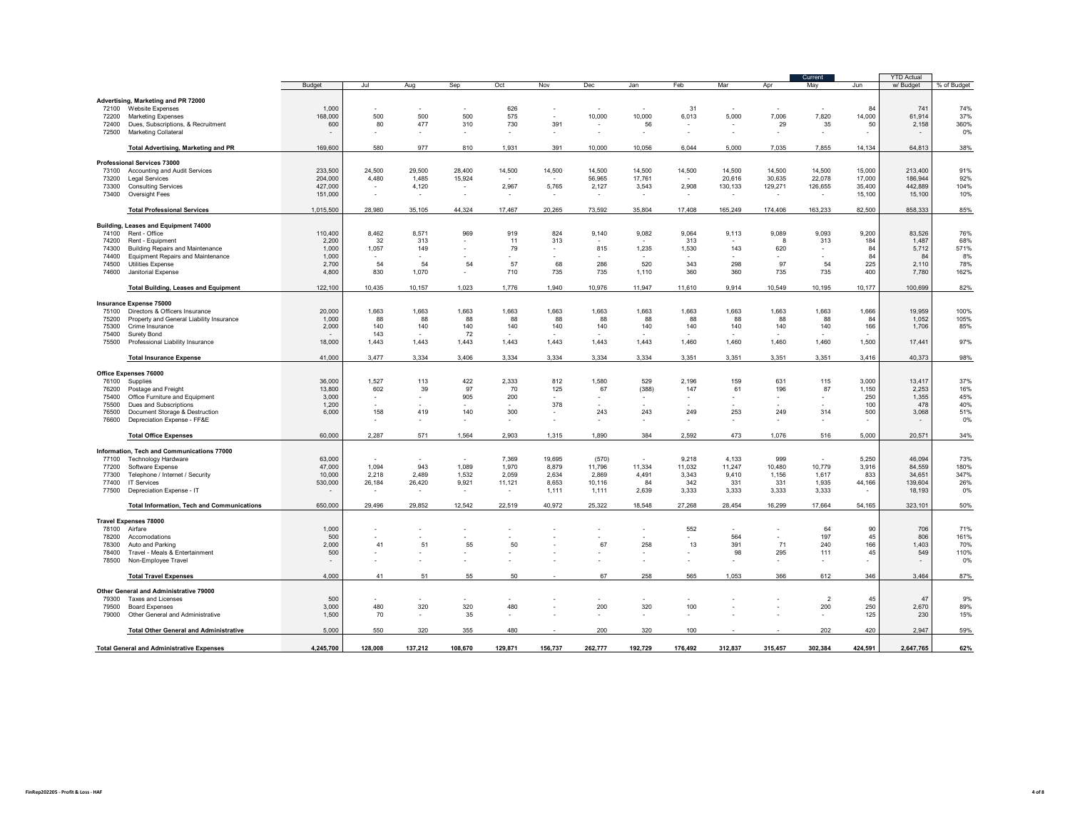| <b>Budget</b><br>Jul<br>Sep<br>Oct<br>Dec<br>Jan<br>Feb<br>Mar<br>May<br>Jun<br>w/ Budget<br>% of Budget<br>Aug<br>Nov<br>Apr<br>Advertising, Marketing and PR 72000<br>626<br>741<br>74%<br>72100<br>Website Expenses<br>1,000<br>31<br>84<br>$\sim$<br>×<br>×<br>$\sim$<br>$\overline{a}$<br>×<br>$\sim$<br>$\sim$<br>37%<br>168,000<br>500<br>500<br>500<br>575<br>×.<br>10,000<br>10,000<br>6,013<br>5,000<br>7.006<br>7,820<br>14,000<br>61.914<br>72200<br><b>Marketing Expenses</b><br>477<br>730<br>29<br>35<br>50<br>2,158<br>360%<br>600<br>80<br>310<br>391<br>56<br>72400<br>Dues, Subscriptions, & Recruitment<br>$\overline{\phantom{a}}$<br>×<br>0%<br>72500<br>Marketing Collateral<br>×.<br>$\sim$<br>$\sim$<br>$\sim$<br>$\sim$<br>$\sim$<br>$\sim$<br>$\sim$<br>ä.<br>٠<br>$\sim$<br>$\sim$<br>$\sim$<br>580<br>977<br>38%<br><b>Total Advertising, Marketing and PR</b><br>169,600<br>810<br>1,931<br>10,056<br>5,000<br>7,035<br>7,855<br>14.134<br>64.813<br>391<br>10,000<br>6,044<br>Professional Services 73000<br>233,500<br>24,500<br>29,500<br>28,400<br>14,500<br>14,500<br>14,500<br>14,500<br>14,500<br>14,500<br>14,500<br>14,500<br>15,000<br>213,400<br>91%<br>73100<br>Accounting and Audit Services<br>4,480<br>1,485<br>30,635<br>22,078<br>17,000<br>92%<br>204,000<br>15,924<br>56,965<br>17,761<br>20,616<br>186,944<br>73200<br><b>Legal Services</b><br>$\sim$<br>$\sim$<br>$\sim$<br>442,889<br>104%<br><b>Consulting Services</b><br>427,000<br>4,120<br>2,967<br>5,765<br>2,127<br>3,543<br>2,908<br>130,133<br>129,271<br>126,655<br>35,400<br>73300<br>٠<br>$\cdot$<br>15,100<br>10%<br>73400<br>Oversight Fees<br>151,000<br>15,100<br>×.<br>$\sim$<br>$\sim$<br>$\sim$<br>$\sim$<br>$\overline{\phantom{a}}$<br>$\sim$<br>$\sim$<br>٠<br>٠<br>$\sim$<br>1,015,500<br>163,233<br><b>Total Professional Services</b><br>28,980<br>35,105<br>44,324<br>17,467<br>20,265<br>73,592<br>35,804<br>17,408<br>165,249<br>174,406<br>82,500<br>858,333<br>Building, Leases and Equipment 74000<br>110,400<br>8,462<br>8,571<br>969<br>919<br>824<br>9,140<br>9,064<br>9,089<br>9,093<br>9,200<br>83,526<br>76%<br>74100<br>Rent - Office<br>9,082<br>9,113<br>32<br>313<br>184<br>68%<br>2,200<br>313<br>11<br>313<br>1,487<br>74200<br>Rent - Equipment<br>313<br>8<br>571%<br>1,057<br>79<br>815<br>1,235<br>1,530<br>143<br>620<br>84<br>5,712<br><b>Building Repairs and Maintenance</b><br>1,000<br>149<br>74300<br>$\sim$<br>$\sim$<br>84<br>84<br>8%<br>74400<br><b>Equipment Repairs and Maintenance</b><br>1,000<br>٠<br>78%<br>54<br>54<br>57<br>97<br>54<br>225<br>2,700<br>54<br>68<br>286<br>520<br>343<br>298<br>2,110<br>74500<br>Utilities Expense<br>400<br>74600<br>Janitorial Expense<br>4,800<br>830<br>1,070<br>710<br>735<br>735<br>1,110<br>360<br>360<br>735<br>735<br>7,780<br>162%<br>10,435<br>82%<br><b>Total Building, Leases and Equipment</b><br>122,100<br>10,157<br>1,023<br>1,776<br>1,940<br>10,976<br>11,947<br>11,610<br>9,914<br>10,549<br>10,195<br>10,177<br>100,699<br><b>Insurance Expense 75000</b><br>1,663<br>1,663<br>1,663<br>1,663<br>1,663<br>1,663<br>1,663<br>1,663<br>1,663<br>1,663<br>1,663<br>1,666<br>19,959<br>100%<br>75100<br>Directors & Officers Insurance<br>20,000<br>Property and General Liability Insurance<br>1,000<br>88<br>88<br>88<br>88<br>88<br>88<br>88<br>88<br>88<br>88<br>88<br>84<br>1,052<br>105%<br>75200<br>166<br>75300<br>2,000<br>140<br>140<br>140<br>140<br>140<br>140<br>140<br>140<br>140<br>140<br>140<br>1,706<br>85%<br>Crime Insurance<br>75400<br>Surety Bond<br>143<br>72<br>97%<br>75500<br>Professional Liability Insurance<br>18,000<br>1,443<br>1,443<br>1,443<br>1,443<br>1,443<br>1,443<br>1,443<br>1,460<br>1,460<br>1,460<br>1,460<br>1,500<br>17,441<br>3.477<br>3.334<br>3.406<br>3.334<br>3.334<br>3,351<br>3,351<br>3,351<br><b>Total Insurance Expense</b><br>41,000<br>3.334<br>3.334<br>3,351<br>3.416<br>40.373<br>Office Expenses 76000<br>36,000<br>1.527<br>113<br>422<br>2.333<br>812<br>1,580<br>529<br>2,196<br>159<br>631<br>115<br>3.000<br>13.417<br>37%<br>76100<br>Supplies<br>13,800<br>602<br>39<br>97<br>70<br>67<br>(388)<br>147<br>196<br>87<br>1.150<br>2.253<br>16%<br>76200<br>Postage and Freight<br>125<br>61<br>3,000<br>905<br>200<br>250<br>1,355<br>45%<br>75400<br>Office Furniture and Equipment<br>٠<br>٠<br>$\overline{\phantom{a}}$<br>٠<br>٠<br>٠<br>٠<br>100<br>478<br>40%<br>75500<br>Dues and Subscriptions<br>1,200<br>378<br>÷<br>158<br>419<br>140<br>300<br>243<br>249<br>253<br>249<br>314<br>500<br>3,068<br>51%<br>76500<br>Document Storage & Destruction<br>6,000<br>243<br>$\sim$<br>Depreciation Expense - FF&E<br>0%<br>76600<br>٠<br>$\overline{\phantom{a}}$<br>٠<br>$\sim$<br>٠<br>٠<br>$\overline{\phantom{a}}$<br>$\sim$<br>$\sim$<br>60,000<br>2.287<br>571<br>1.564<br>2.903<br>1.890<br>384<br>2.592<br>473<br>1.076<br>516<br>5.000<br>20.571<br>34%<br><b>Total Office Expenses</b><br>1.315<br>Information, Tech and Communications 77000<br>9,218<br>4.133<br>999<br>5,250<br>46.094<br>73%<br>77100<br>Technology Hardware<br>63,000<br>7,369<br>19,695<br>(570)<br>$\sim$<br>$\sim$<br>$\sim$<br>10,480<br>47,000<br>1.094<br>943<br>1,089<br>1,970<br>8,879<br>11,796<br>11,334<br>11,032<br>11,247<br>10,779<br>3,916<br>84,559<br>180%<br>77200<br>Software Expense<br>347%<br>77300<br>10,000<br>2,218<br>2,489<br>1,532<br>2,059<br>2,634<br>2,869<br>4,491<br>3,343<br>9,410<br>1,156<br>1,617<br>833<br>34,651<br>Telephone / Internet / Security<br>44,166<br>77400<br>530,000<br>26,184<br>26,420<br>9,921<br>11,121<br>8,653<br>10,116<br>84<br>342<br>331<br>331<br>1,935<br>139,604<br>26%<br><b>IT Services</b><br>77500<br>3,333<br>3,333<br>3,333<br>3,333<br>18,193<br>0%<br>Depreciation Expense - IT<br>1,111<br>1,111<br>2,639<br>$\sim$<br>$\sim$<br>$\sim$<br>$\sim$<br>$\sim$<br>$\sim$<br>650,000<br>29,496<br>29,852<br>12,542<br>22,519<br>40,972<br>25,322<br>18,548<br>27,268<br>28,454<br>17,664<br><b>Total Information, Tech and Communications</b><br>16,299<br>54,165<br>323,101<br><b>Travel Expenses 78000</b><br>78100<br>Airfare<br>1,000<br>552<br>64<br>90<br>706<br>71%<br>$\sim$<br>$\sim$<br>٠<br>٠<br>500<br>564<br>197<br>45<br>806<br>161%<br>78200<br>Accomodations<br>×<br>٠<br>$\sim$<br>٠<br>×<br>$\sim$<br>2,000<br>41<br>51<br>55<br>50<br>67<br>258<br>13<br>391<br>71<br>240<br>166<br>1,403<br>70%<br>78300<br>Auto and Parking<br>500<br>98<br>295<br>111<br>45<br>549<br>110%<br>78400<br>Travel - Meals & Entertainment<br>٠<br>$\sim$<br>٠<br>٠<br>٠<br>78500<br>Non-Employee Travel<br>٠<br>$\sim$<br>$\sim$<br>$\sim$<br>٠<br>×<br>$\sim$<br>٠<br>$\overline{a}$<br>$\sim$<br>$\sim$<br>258<br>1,053<br>612<br>3,464<br>4,000<br>41<br>51<br>55<br>50<br>67<br>565<br>366<br>346<br><b>Total Travel Expenses</b><br>Other General and Administrative 79000<br>$\overline{2}$<br>45<br>47<br>9%<br>79300<br>500<br><b>Taxes and Licenses</b><br>×.<br>×<br>480<br>320<br>320<br>480<br>200<br>100<br>250<br>2,670<br>3,000<br>320<br>200<br>89%<br>79500<br><b>Board Expenses</b><br>$\overline{\phantom{a}}$<br>×<br>125<br>15%<br>1,500<br>70<br>35<br>230<br>79000<br>Other General and Administrative<br>×,<br>$\overline{\phantom{a}}$<br>$\sim$<br>٠<br>$\sim$<br>$\sim$<br>5.000<br>550<br>202<br>320<br>355<br>480<br>200<br>320<br>100<br>420<br>2,947<br><b>Total Other General and Administrative</b><br>4,245,700<br>137,212<br>262,777<br>302,384<br>128,008<br>108,670<br>129,871<br>156,737<br>192,729<br>176,492<br>312,837<br>315,457<br>424,591<br>2,647,765<br><b>Total General and Administrative Expenses</b> |  |  |  |  |  |  | Current | <b>YTD Actual</b> |     |
|---------------------------------------------------------------------------------------------------------------------------------------------------------------------------------------------------------------------------------------------------------------------------------------------------------------------------------------------------------------------------------------------------------------------------------------------------------------------------------------------------------------------------------------------------------------------------------------------------------------------------------------------------------------------------------------------------------------------------------------------------------------------------------------------------------------------------------------------------------------------------------------------------------------------------------------------------------------------------------------------------------------------------------------------------------------------------------------------------------------------------------------------------------------------------------------------------------------------------------------------------------------------------------------------------------------------------------------------------------------------------------------------------------------------------------------------------------------------------------------------------------------------------------------------------------------------------------------------------------------------------------------------------------------------------------------------------------------------------------------------------------------------------------------------------------------------------------------------------------------------------------------------------------------------------------------------------------------------------------------------------------------------------------------------------------------------------------------------------------------------------------------------------------------------------------------------------------------------------------------------------------------------------------------------------------------------------------------------------------------------------------------------------------------------------------------------------------------------------------------------------------------------------------------------------------------------------------------------------------------------------------------------------------------------------------------------------------------------------------------------------------------------------------------------------------------------------------------------------------------------------------------------------------------------------------------------------------------------------------------------------------------------------------------------------------------------------------------------------------------------------------------------------------------------------------------------------------------------------------------------------------------------------------------------------------------------------------------------------------------------------------------------------------------------------------------------------------------------------------------------------------------------------------------------------------------------------------------------------------------------------------------------------------------------------------------------------------------------------------------------------------------------------------------------------------------------------------------------------------------------------------------------------------------------------------------------------------------------------------------------------------------------------------------------------------------------------------------------------------------------------------------------------------------------------------------------------------------------------------------------------------------------------------------------------------------------------------------------------------------------------------------------------------------------------------------------------------------------------------------------------------------------------------------------------------------------------------------------------------------------------------------------------------------------------------------------------------------------------------------------------------------------------------------------------------------------------------------------------------------------------------------------------------------------------------------------------------------------------------------------------------------------------------------------------------------------------------------------------------------------------------------------------------------------------------------------------------------------------------------------------------------------------------------------------------------------------------------------------------------------------------------------------------------------------------------------------------------------------------------------------------------------------------------------------------------------------------------------------------------------------------------------------------------------------------------------------------------------------------------------------------------------------------------------------------------------------------------------------------------------------------------------------------------------------------------------------------------------------------------------------------------------------------------------------------------------------------------------------------------------------------------------------------------------------------------------------------------------------------------------------------------------------------------------------------------------------------------------------------------------------------------------------------------------------------------------------------------------------------------------------------------------------------------------------------------------------------------------------------------------------------------------------------------------------------------------------------------------------------------------------------------------------------------------------------------------------------------------------------------------------------------------------------------------------------------------------------------------------------------------------------------------------------------------------------------------------------------------------------------------------------------------------------------------------------------------------------------------------------------------------------------------------------------------------------------------------------------------------------------------------------------------------------------------------------------------------------------------------------------------------------------------------------------------------------------------------------------------------------------------------------------------------------------------------------------------------------------|--|--|--|--|--|--|---------|-------------------|-----|
|                                                                                                                                                                                                                                                                                                                                                                                                                                                                                                                                                                                                                                                                                                                                                                                                                                                                                                                                                                                                                                                                                                                                                                                                                                                                                                                                                                                                                                                                                                                                                                                                                                                                                                                                                                                                                                                                                                                                                                                                                                                                                                                                                                                                                                                                                                                                                                                                                                                                                                                                                                                                                                                                                                                                                                                                                                                                                                                                                                                                                                                                                                                                                                                                                                                                                                                                                                                                                                                                                                                                                                                                                                                                                                                                                                                                                                                                                                                                                                                                                                                                                                                                                                                                                                                                                                                                                                                                                                                                                                                                                                                                                                                                                                                                                                                                                                                                                                                                                                                                                                                                                                                                                                                                                                                                                                                                                                                                                                                                                                                                                                                                                                                                                                                                                                                                                                                                                                                                                                                                                                                                                                                                                                                                                                                                                                                                                                                                                                                                                                                                                                                                                                                                                                                                                                                                                                                                                                                                                                                                                                                                                                                                                                                                                                                                                                                                                                                                                                                                                                                                                                                                                                                                                                               |  |  |  |  |  |  |         |                   |     |
|                                                                                                                                                                                                                                                                                                                                                                                                                                                                                                                                                                                                                                                                                                                                                                                                                                                                                                                                                                                                                                                                                                                                                                                                                                                                                                                                                                                                                                                                                                                                                                                                                                                                                                                                                                                                                                                                                                                                                                                                                                                                                                                                                                                                                                                                                                                                                                                                                                                                                                                                                                                                                                                                                                                                                                                                                                                                                                                                                                                                                                                                                                                                                                                                                                                                                                                                                                                                                                                                                                                                                                                                                                                                                                                                                                                                                                                                                                                                                                                                                                                                                                                                                                                                                                                                                                                                                                                                                                                                                                                                                                                                                                                                                                                                                                                                                                                                                                                                                                                                                                                                                                                                                                                                                                                                                                                                                                                                                                                                                                                                                                                                                                                                                                                                                                                                                                                                                                                                                                                                                                                                                                                                                                                                                                                                                                                                                                                                                                                                                                                                                                                                                                                                                                                                                                                                                                                                                                                                                                                                                                                                                                                                                                                                                                                                                                                                                                                                                                                                                                                                                                                                                                                                                                               |  |  |  |  |  |  |         |                   |     |
|                                                                                                                                                                                                                                                                                                                                                                                                                                                                                                                                                                                                                                                                                                                                                                                                                                                                                                                                                                                                                                                                                                                                                                                                                                                                                                                                                                                                                                                                                                                                                                                                                                                                                                                                                                                                                                                                                                                                                                                                                                                                                                                                                                                                                                                                                                                                                                                                                                                                                                                                                                                                                                                                                                                                                                                                                                                                                                                                                                                                                                                                                                                                                                                                                                                                                                                                                                                                                                                                                                                                                                                                                                                                                                                                                                                                                                                                                                                                                                                                                                                                                                                                                                                                                                                                                                                                                                                                                                                                                                                                                                                                                                                                                                                                                                                                                                                                                                                                                                                                                                                                                                                                                                                                                                                                                                                                                                                                                                                                                                                                                                                                                                                                                                                                                                                                                                                                                                                                                                                                                                                                                                                                                                                                                                                                                                                                                                                                                                                                                                                                                                                                                                                                                                                                                                                                                                                                                                                                                                                                                                                                                                                                                                                                                                                                                                                                                                                                                                                                                                                                                                                                                                                                                                               |  |  |  |  |  |  |         |                   |     |
|                                                                                                                                                                                                                                                                                                                                                                                                                                                                                                                                                                                                                                                                                                                                                                                                                                                                                                                                                                                                                                                                                                                                                                                                                                                                                                                                                                                                                                                                                                                                                                                                                                                                                                                                                                                                                                                                                                                                                                                                                                                                                                                                                                                                                                                                                                                                                                                                                                                                                                                                                                                                                                                                                                                                                                                                                                                                                                                                                                                                                                                                                                                                                                                                                                                                                                                                                                                                                                                                                                                                                                                                                                                                                                                                                                                                                                                                                                                                                                                                                                                                                                                                                                                                                                                                                                                                                                                                                                                                                                                                                                                                                                                                                                                                                                                                                                                                                                                                                                                                                                                                                                                                                                                                                                                                                                                                                                                                                                                                                                                                                                                                                                                                                                                                                                                                                                                                                                                                                                                                                                                                                                                                                                                                                                                                                                                                                                                                                                                                                                                                                                                                                                                                                                                                                                                                                                                                                                                                                                                                                                                                                                                                                                                                                                                                                                                                                                                                                                                                                                                                                                                                                                                                                                               |  |  |  |  |  |  |         |                   |     |
|                                                                                                                                                                                                                                                                                                                                                                                                                                                                                                                                                                                                                                                                                                                                                                                                                                                                                                                                                                                                                                                                                                                                                                                                                                                                                                                                                                                                                                                                                                                                                                                                                                                                                                                                                                                                                                                                                                                                                                                                                                                                                                                                                                                                                                                                                                                                                                                                                                                                                                                                                                                                                                                                                                                                                                                                                                                                                                                                                                                                                                                                                                                                                                                                                                                                                                                                                                                                                                                                                                                                                                                                                                                                                                                                                                                                                                                                                                                                                                                                                                                                                                                                                                                                                                                                                                                                                                                                                                                                                                                                                                                                                                                                                                                                                                                                                                                                                                                                                                                                                                                                                                                                                                                                                                                                                                                                                                                                                                                                                                                                                                                                                                                                                                                                                                                                                                                                                                                                                                                                                                                                                                                                                                                                                                                                                                                                                                                                                                                                                                                                                                                                                                                                                                                                                                                                                                                                                                                                                                                                                                                                                                                                                                                                                                                                                                                                                                                                                                                                                                                                                                                                                                                                                                               |  |  |  |  |  |  |         |                   |     |
|                                                                                                                                                                                                                                                                                                                                                                                                                                                                                                                                                                                                                                                                                                                                                                                                                                                                                                                                                                                                                                                                                                                                                                                                                                                                                                                                                                                                                                                                                                                                                                                                                                                                                                                                                                                                                                                                                                                                                                                                                                                                                                                                                                                                                                                                                                                                                                                                                                                                                                                                                                                                                                                                                                                                                                                                                                                                                                                                                                                                                                                                                                                                                                                                                                                                                                                                                                                                                                                                                                                                                                                                                                                                                                                                                                                                                                                                                                                                                                                                                                                                                                                                                                                                                                                                                                                                                                                                                                                                                                                                                                                                                                                                                                                                                                                                                                                                                                                                                                                                                                                                                                                                                                                                                                                                                                                                                                                                                                                                                                                                                                                                                                                                                                                                                                                                                                                                                                                                                                                                                                                                                                                                                                                                                                                                                                                                                                                                                                                                                                                                                                                                                                                                                                                                                                                                                                                                                                                                                                                                                                                                                                                                                                                                                                                                                                                                                                                                                                                                                                                                                                                                                                                                                                               |  |  |  |  |  |  |         |                   |     |
|                                                                                                                                                                                                                                                                                                                                                                                                                                                                                                                                                                                                                                                                                                                                                                                                                                                                                                                                                                                                                                                                                                                                                                                                                                                                                                                                                                                                                                                                                                                                                                                                                                                                                                                                                                                                                                                                                                                                                                                                                                                                                                                                                                                                                                                                                                                                                                                                                                                                                                                                                                                                                                                                                                                                                                                                                                                                                                                                                                                                                                                                                                                                                                                                                                                                                                                                                                                                                                                                                                                                                                                                                                                                                                                                                                                                                                                                                                                                                                                                                                                                                                                                                                                                                                                                                                                                                                                                                                                                                                                                                                                                                                                                                                                                                                                                                                                                                                                                                                                                                                                                                                                                                                                                                                                                                                                                                                                                                                                                                                                                                                                                                                                                                                                                                                                                                                                                                                                                                                                                                                                                                                                                                                                                                                                                                                                                                                                                                                                                                                                                                                                                                                                                                                                                                                                                                                                                                                                                                                                                                                                                                                                                                                                                                                                                                                                                                                                                                                                                                                                                                                                                                                                                                                               |  |  |  |  |  |  |         |                   |     |
|                                                                                                                                                                                                                                                                                                                                                                                                                                                                                                                                                                                                                                                                                                                                                                                                                                                                                                                                                                                                                                                                                                                                                                                                                                                                                                                                                                                                                                                                                                                                                                                                                                                                                                                                                                                                                                                                                                                                                                                                                                                                                                                                                                                                                                                                                                                                                                                                                                                                                                                                                                                                                                                                                                                                                                                                                                                                                                                                                                                                                                                                                                                                                                                                                                                                                                                                                                                                                                                                                                                                                                                                                                                                                                                                                                                                                                                                                                                                                                                                                                                                                                                                                                                                                                                                                                                                                                                                                                                                                                                                                                                                                                                                                                                                                                                                                                                                                                                                                                                                                                                                                                                                                                                                                                                                                                                                                                                                                                                                                                                                                                                                                                                                                                                                                                                                                                                                                                                                                                                                                                                                                                                                                                                                                                                                                                                                                                                                                                                                                                                                                                                                                                                                                                                                                                                                                                                                                                                                                                                                                                                                                                                                                                                                                                                                                                                                                                                                                                                                                                                                                                                                                                                                                                               |  |  |  |  |  |  |         |                   |     |
|                                                                                                                                                                                                                                                                                                                                                                                                                                                                                                                                                                                                                                                                                                                                                                                                                                                                                                                                                                                                                                                                                                                                                                                                                                                                                                                                                                                                                                                                                                                                                                                                                                                                                                                                                                                                                                                                                                                                                                                                                                                                                                                                                                                                                                                                                                                                                                                                                                                                                                                                                                                                                                                                                                                                                                                                                                                                                                                                                                                                                                                                                                                                                                                                                                                                                                                                                                                                                                                                                                                                                                                                                                                                                                                                                                                                                                                                                                                                                                                                                                                                                                                                                                                                                                                                                                                                                                                                                                                                                                                                                                                                                                                                                                                                                                                                                                                                                                                                                                                                                                                                                                                                                                                                                                                                                                                                                                                                                                                                                                                                                                                                                                                                                                                                                                                                                                                                                                                                                                                                                                                                                                                                                                                                                                                                                                                                                                                                                                                                                                                                                                                                                                                                                                                                                                                                                                                                                                                                                                                                                                                                                                                                                                                                                                                                                                                                                                                                                                                                                                                                                                                                                                                                                                               |  |  |  |  |  |  |         |                   |     |
|                                                                                                                                                                                                                                                                                                                                                                                                                                                                                                                                                                                                                                                                                                                                                                                                                                                                                                                                                                                                                                                                                                                                                                                                                                                                                                                                                                                                                                                                                                                                                                                                                                                                                                                                                                                                                                                                                                                                                                                                                                                                                                                                                                                                                                                                                                                                                                                                                                                                                                                                                                                                                                                                                                                                                                                                                                                                                                                                                                                                                                                                                                                                                                                                                                                                                                                                                                                                                                                                                                                                                                                                                                                                                                                                                                                                                                                                                                                                                                                                                                                                                                                                                                                                                                                                                                                                                                                                                                                                                                                                                                                                                                                                                                                                                                                                                                                                                                                                                                                                                                                                                                                                                                                                                                                                                                                                                                                                                                                                                                                                                                                                                                                                                                                                                                                                                                                                                                                                                                                                                                                                                                                                                                                                                                                                                                                                                                                                                                                                                                                                                                                                                                                                                                                                                                                                                                                                                                                                                                                                                                                                                                                                                                                                                                                                                                                                                                                                                                                                                                                                                                                                                                                                                                               |  |  |  |  |  |  |         |                   |     |
|                                                                                                                                                                                                                                                                                                                                                                                                                                                                                                                                                                                                                                                                                                                                                                                                                                                                                                                                                                                                                                                                                                                                                                                                                                                                                                                                                                                                                                                                                                                                                                                                                                                                                                                                                                                                                                                                                                                                                                                                                                                                                                                                                                                                                                                                                                                                                                                                                                                                                                                                                                                                                                                                                                                                                                                                                                                                                                                                                                                                                                                                                                                                                                                                                                                                                                                                                                                                                                                                                                                                                                                                                                                                                                                                                                                                                                                                                                                                                                                                                                                                                                                                                                                                                                                                                                                                                                                                                                                                                                                                                                                                                                                                                                                                                                                                                                                                                                                                                                                                                                                                                                                                                                                                                                                                                                                                                                                                                                                                                                                                                                                                                                                                                                                                                                                                                                                                                                                                                                                                                                                                                                                                                                                                                                                                                                                                                                                                                                                                                                                                                                                                                                                                                                                                                                                                                                                                                                                                                                                                                                                                                                                                                                                                                                                                                                                                                                                                                                                                                                                                                                                                                                                                                                               |  |  |  |  |  |  |         |                   |     |
|                                                                                                                                                                                                                                                                                                                                                                                                                                                                                                                                                                                                                                                                                                                                                                                                                                                                                                                                                                                                                                                                                                                                                                                                                                                                                                                                                                                                                                                                                                                                                                                                                                                                                                                                                                                                                                                                                                                                                                                                                                                                                                                                                                                                                                                                                                                                                                                                                                                                                                                                                                                                                                                                                                                                                                                                                                                                                                                                                                                                                                                                                                                                                                                                                                                                                                                                                                                                                                                                                                                                                                                                                                                                                                                                                                                                                                                                                                                                                                                                                                                                                                                                                                                                                                                                                                                                                                                                                                                                                                                                                                                                                                                                                                                                                                                                                                                                                                                                                                                                                                                                                                                                                                                                                                                                                                                                                                                                                                                                                                                                                                                                                                                                                                                                                                                                                                                                                                                                                                                                                                                                                                                                                                                                                                                                                                                                                                                                                                                                                                                                                                                                                                                                                                                                                                                                                                                                                                                                                                                                                                                                                                                                                                                                                                                                                                                                                                                                                                                                                                                                                                                                                                                                                                               |  |  |  |  |  |  |         |                   |     |
|                                                                                                                                                                                                                                                                                                                                                                                                                                                                                                                                                                                                                                                                                                                                                                                                                                                                                                                                                                                                                                                                                                                                                                                                                                                                                                                                                                                                                                                                                                                                                                                                                                                                                                                                                                                                                                                                                                                                                                                                                                                                                                                                                                                                                                                                                                                                                                                                                                                                                                                                                                                                                                                                                                                                                                                                                                                                                                                                                                                                                                                                                                                                                                                                                                                                                                                                                                                                                                                                                                                                                                                                                                                                                                                                                                                                                                                                                                                                                                                                                                                                                                                                                                                                                                                                                                                                                                                                                                                                                                                                                                                                                                                                                                                                                                                                                                                                                                                                                                                                                                                                                                                                                                                                                                                                                                                                                                                                                                                                                                                                                                                                                                                                                                                                                                                                                                                                                                                                                                                                                                                                                                                                                                                                                                                                                                                                                                                                                                                                                                                                                                                                                                                                                                                                                                                                                                                                                                                                                                                                                                                                                                                                                                                                                                                                                                                                                                                                                                                                                                                                                                                                                                                                                                               |  |  |  |  |  |  |         |                   |     |
|                                                                                                                                                                                                                                                                                                                                                                                                                                                                                                                                                                                                                                                                                                                                                                                                                                                                                                                                                                                                                                                                                                                                                                                                                                                                                                                                                                                                                                                                                                                                                                                                                                                                                                                                                                                                                                                                                                                                                                                                                                                                                                                                                                                                                                                                                                                                                                                                                                                                                                                                                                                                                                                                                                                                                                                                                                                                                                                                                                                                                                                                                                                                                                                                                                                                                                                                                                                                                                                                                                                                                                                                                                                                                                                                                                                                                                                                                                                                                                                                                                                                                                                                                                                                                                                                                                                                                                                                                                                                                                                                                                                                                                                                                                                                                                                                                                                                                                                                                                                                                                                                                                                                                                                                                                                                                                                                                                                                                                                                                                                                                                                                                                                                                                                                                                                                                                                                                                                                                                                                                                                                                                                                                                                                                                                                                                                                                                                                                                                                                                                                                                                                                                                                                                                                                                                                                                                                                                                                                                                                                                                                                                                                                                                                                                                                                                                                                                                                                                                                                                                                                                                                                                                                                                               |  |  |  |  |  |  |         |                   |     |
|                                                                                                                                                                                                                                                                                                                                                                                                                                                                                                                                                                                                                                                                                                                                                                                                                                                                                                                                                                                                                                                                                                                                                                                                                                                                                                                                                                                                                                                                                                                                                                                                                                                                                                                                                                                                                                                                                                                                                                                                                                                                                                                                                                                                                                                                                                                                                                                                                                                                                                                                                                                                                                                                                                                                                                                                                                                                                                                                                                                                                                                                                                                                                                                                                                                                                                                                                                                                                                                                                                                                                                                                                                                                                                                                                                                                                                                                                                                                                                                                                                                                                                                                                                                                                                                                                                                                                                                                                                                                                                                                                                                                                                                                                                                                                                                                                                                                                                                                                                                                                                                                                                                                                                                                                                                                                                                                                                                                                                                                                                                                                                                                                                                                                                                                                                                                                                                                                                                                                                                                                                                                                                                                                                                                                                                                                                                                                                                                                                                                                                                                                                                                                                                                                                                                                                                                                                                                                                                                                                                                                                                                                                                                                                                                                                                                                                                                                                                                                                                                                                                                                                                                                                                                                                               |  |  |  |  |  |  |         |                   | 85% |
|                                                                                                                                                                                                                                                                                                                                                                                                                                                                                                                                                                                                                                                                                                                                                                                                                                                                                                                                                                                                                                                                                                                                                                                                                                                                                                                                                                                                                                                                                                                                                                                                                                                                                                                                                                                                                                                                                                                                                                                                                                                                                                                                                                                                                                                                                                                                                                                                                                                                                                                                                                                                                                                                                                                                                                                                                                                                                                                                                                                                                                                                                                                                                                                                                                                                                                                                                                                                                                                                                                                                                                                                                                                                                                                                                                                                                                                                                                                                                                                                                                                                                                                                                                                                                                                                                                                                                                                                                                                                                                                                                                                                                                                                                                                                                                                                                                                                                                                                                                                                                                                                                                                                                                                                                                                                                                                                                                                                                                                                                                                                                                                                                                                                                                                                                                                                                                                                                                                                                                                                                                                                                                                                                                                                                                                                                                                                                                                                                                                                                                                                                                                                                                                                                                                                                                                                                                                                                                                                                                                                                                                                                                                                                                                                                                                                                                                                                                                                                                                                                                                                                                                                                                                                                                               |  |  |  |  |  |  |         |                   |     |
|                                                                                                                                                                                                                                                                                                                                                                                                                                                                                                                                                                                                                                                                                                                                                                                                                                                                                                                                                                                                                                                                                                                                                                                                                                                                                                                                                                                                                                                                                                                                                                                                                                                                                                                                                                                                                                                                                                                                                                                                                                                                                                                                                                                                                                                                                                                                                                                                                                                                                                                                                                                                                                                                                                                                                                                                                                                                                                                                                                                                                                                                                                                                                                                                                                                                                                                                                                                                                                                                                                                                                                                                                                                                                                                                                                                                                                                                                                                                                                                                                                                                                                                                                                                                                                                                                                                                                                                                                                                                                                                                                                                                                                                                                                                                                                                                                                                                                                                                                                                                                                                                                                                                                                                                                                                                                                                                                                                                                                                                                                                                                                                                                                                                                                                                                                                                                                                                                                                                                                                                                                                                                                                                                                                                                                                                                                                                                                                                                                                                                                                                                                                                                                                                                                                                                                                                                                                                                                                                                                                                                                                                                                                                                                                                                                                                                                                                                                                                                                                                                                                                                                                                                                                                                                               |  |  |  |  |  |  |         |                   |     |
|                                                                                                                                                                                                                                                                                                                                                                                                                                                                                                                                                                                                                                                                                                                                                                                                                                                                                                                                                                                                                                                                                                                                                                                                                                                                                                                                                                                                                                                                                                                                                                                                                                                                                                                                                                                                                                                                                                                                                                                                                                                                                                                                                                                                                                                                                                                                                                                                                                                                                                                                                                                                                                                                                                                                                                                                                                                                                                                                                                                                                                                                                                                                                                                                                                                                                                                                                                                                                                                                                                                                                                                                                                                                                                                                                                                                                                                                                                                                                                                                                                                                                                                                                                                                                                                                                                                                                                                                                                                                                                                                                                                                                                                                                                                                                                                                                                                                                                                                                                                                                                                                                                                                                                                                                                                                                                                                                                                                                                                                                                                                                                                                                                                                                                                                                                                                                                                                                                                                                                                                                                                                                                                                                                                                                                                                                                                                                                                                                                                                                                                                                                                                                                                                                                                                                                                                                                                                                                                                                                                                                                                                                                                                                                                                                                                                                                                                                                                                                                                                                                                                                                                                                                                                                                               |  |  |  |  |  |  |         |                   |     |
|                                                                                                                                                                                                                                                                                                                                                                                                                                                                                                                                                                                                                                                                                                                                                                                                                                                                                                                                                                                                                                                                                                                                                                                                                                                                                                                                                                                                                                                                                                                                                                                                                                                                                                                                                                                                                                                                                                                                                                                                                                                                                                                                                                                                                                                                                                                                                                                                                                                                                                                                                                                                                                                                                                                                                                                                                                                                                                                                                                                                                                                                                                                                                                                                                                                                                                                                                                                                                                                                                                                                                                                                                                                                                                                                                                                                                                                                                                                                                                                                                                                                                                                                                                                                                                                                                                                                                                                                                                                                                                                                                                                                                                                                                                                                                                                                                                                                                                                                                                                                                                                                                                                                                                                                                                                                                                                                                                                                                                                                                                                                                                                                                                                                                                                                                                                                                                                                                                                                                                                                                                                                                                                                                                                                                                                                                                                                                                                                                                                                                                                                                                                                                                                                                                                                                                                                                                                                                                                                                                                                                                                                                                                                                                                                                                                                                                                                                                                                                                                                                                                                                                                                                                                                                                               |  |  |  |  |  |  |         |                   |     |
|                                                                                                                                                                                                                                                                                                                                                                                                                                                                                                                                                                                                                                                                                                                                                                                                                                                                                                                                                                                                                                                                                                                                                                                                                                                                                                                                                                                                                                                                                                                                                                                                                                                                                                                                                                                                                                                                                                                                                                                                                                                                                                                                                                                                                                                                                                                                                                                                                                                                                                                                                                                                                                                                                                                                                                                                                                                                                                                                                                                                                                                                                                                                                                                                                                                                                                                                                                                                                                                                                                                                                                                                                                                                                                                                                                                                                                                                                                                                                                                                                                                                                                                                                                                                                                                                                                                                                                                                                                                                                                                                                                                                                                                                                                                                                                                                                                                                                                                                                                                                                                                                                                                                                                                                                                                                                                                                                                                                                                                                                                                                                                                                                                                                                                                                                                                                                                                                                                                                                                                                                                                                                                                                                                                                                                                                                                                                                                                                                                                                                                                                                                                                                                                                                                                                                                                                                                                                                                                                                                                                                                                                                                                                                                                                                                                                                                                                                                                                                                                                                                                                                                                                                                                                                                               |  |  |  |  |  |  |         |                   |     |
|                                                                                                                                                                                                                                                                                                                                                                                                                                                                                                                                                                                                                                                                                                                                                                                                                                                                                                                                                                                                                                                                                                                                                                                                                                                                                                                                                                                                                                                                                                                                                                                                                                                                                                                                                                                                                                                                                                                                                                                                                                                                                                                                                                                                                                                                                                                                                                                                                                                                                                                                                                                                                                                                                                                                                                                                                                                                                                                                                                                                                                                                                                                                                                                                                                                                                                                                                                                                                                                                                                                                                                                                                                                                                                                                                                                                                                                                                                                                                                                                                                                                                                                                                                                                                                                                                                                                                                                                                                                                                                                                                                                                                                                                                                                                                                                                                                                                                                                                                                                                                                                                                                                                                                                                                                                                                                                                                                                                                                                                                                                                                                                                                                                                                                                                                                                                                                                                                                                                                                                                                                                                                                                                                                                                                                                                                                                                                                                                                                                                                                                                                                                                                                                                                                                                                                                                                                                                                                                                                                                                                                                                                                                                                                                                                                                                                                                                                                                                                                                                                                                                                                                                                                                                                                               |  |  |  |  |  |  |         |                   |     |
|                                                                                                                                                                                                                                                                                                                                                                                                                                                                                                                                                                                                                                                                                                                                                                                                                                                                                                                                                                                                                                                                                                                                                                                                                                                                                                                                                                                                                                                                                                                                                                                                                                                                                                                                                                                                                                                                                                                                                                                                                                                                                                                                                                                                                                                                                                                                                                                                                                                                                                                                                                                                                                                                                                                                                                                                                                                                                                                                                                                                                                                                                                                                                                                                                                                                                                                                                                                                                                                                                                                                                                                                                                                                                                                                                                                                                                                                                                                                                                                                                                                                                                                                                                                                                                                                                                                                                                                                                                                                                                                                                                                                                                                                                                                                                                                                                                                                                                                                                                                                                                                                                                                                                                                                                                                                                                                                                                                                                                                                                                                                                                                                                                                                                                                                                                                                                                                                                                                                                                                                                                                                                                                                                                                                                                                                                                                                                                                                                                                                                                                                                                                                                                                                                                                                                                                                                                                                                                                                                                                                                                                                                                                                                                                                                                                                                                                                                                                                                                                                                                                                                                                                                                                                                                               |  |  |  |  |  |  |         |                   |     |
|                                                                                                                                                                                                                                                                                                                                                                                                                                                                                                                                                                                                                                                                                                                                                                                                                                                                                                                                                                                                                                                                                                                                                                                                                                                                                                                                                                                                                                                                                                                                                                                                                                                                                                                                                                                                                                                                                                                                                                                                                                                                                                                                                                                                                                                                                                                                                                                                                                                                                                                                                                                                                                                                                                                                                                                                                                                                                                                                                                                                                                                                                                                                                                                                                                                                                                                                                                                                                                                                                                                                                                                                                                                                                                                                                                                                                                                                                                                                                                                                                                                                                                                                                                                                                                                                                                                                                                                                                                                                                                                                                                                                                                                                                                                                                                                                                                                                                                                                                                                                                                                                                                                                                                                                                                                                                                                                                                                                                                                                                                                                                                                                                                                                                                                                                                                                                                                                                                                                                                                                                                                                                                                                                                                                                                                                                                                                                                                                                                                                                                                                                                                                                                                                                                                                                                                                                                                                                                                                                                                                                                                                                                                                                                                                                                                                                                                                                                                                                                                                                                                                                                                                                                                                                                               |  |  |  |  |  |  |         |                   |     |
|                                                                                                                                                                                                                                                                                                                                                                                                                                                                                                                                                                                                                                                                                                                                                                                                                                                                                                                                                                                                                                                                                                                                                                                                                                                                                                                                                                                                                                                                                                                                                                                                                                                                                                                                                                                                                                                                                                                                                                                                                                                                                                                                                                                                                                                                                                                                                                                                                                                                                                                                                                                                                                                                                                                                                                                                                                                                                                                                                                                                                                                                                                                                                                                                                                                                                                                                                                                                                                                                                                                                                                                                                                                                                                                                                                                                                                                                                                                                                                                                                                                                                                                                                                                                                                                                                                                                                                                                                                                                                                                                                                                                                                                                                                                                                                                                                                                                                                                                                                                                                                                                                                                                                                                                                                                                                                                                                                                                                                                                                                                                                                                                                                                                                                                                                                                                                                                                                                                                                                                                                                                                                                                                                                                                                                                                                                                                                                                                                                                                                                                                                                                                                                                                                                                                                                                                                                                                                                                                                                                                                                                                                                                                                                                                                                                                                                                                                                                                                                                                                                                                                                                                                                                                                                               |  |  |  |  |  |  |         |                   |     |
|                                                                                                                                                                                                                                                                                                                                                                                                                                                                                                                                                                                                                                                                                                                                                                                                                                                                                                                                                                                                                                                                                                                                                                                                                                                                                                                                                                                                                                                                                                                                                                                                                                                                                                                                                                                                                                                                                                                                                                                                                                                                                                                                                                                                                                                                                                                                                                                                                                                                                                                                                                                                                                                                                                                                                                                                                                                                                                                                                                                                                                                                                                                                                                                                                                                                                                                                                                                                                                                                                                                                                                                                                                                                                                                                                                                                                                                                                                                                                                                                                                                                                                                                                                                                                                                                                                                                                                                                                                                                                                                                                                                                                                                                                                                                                                                                                                                                                                                                                                                                                                                                                                                                                                                                                                                                                                                                                                                                                                                                                                                                                                                                                                                                                                                                                                                                                                                                                                                                                                                                                                                                                                                                                                                                                                                                                                                                                                                                                                                                                                                                                                                                                                                                                                                                                                                                                                                                                                                                                                                                                                                                                                                                                                                                                                                                                                                                                                                                                                                                                                                                                                                                                                                                                                               |  |  |  |  |  |  |         |                   |     |
|                                                                                                                                                                                                                                                                                                                                                                                                                                                                                                                                                                                                                                                                                                                                                                                                                                                                                                                                                                                                                                                                                                                                                                                                                                                                                                                                                                                                                                                                                                                                                                                                                                                                                                                                                                                                                                                                                                                                                                                                                                                                                                                                                                                                                                                                                                                                                                                                                                                                                                                                                                                                                                                                                                                                                                                                                                                                                                                                                                                                                                                                                                                                                                                                                                                                                                                                                                                                                                                                                                                                                                                                                                                                                                                                                                                                                                                                                                                                                                                                                                                                                                                                                                                                                                                                                                                                                                                                                                                                                                                                                                                                                                                                                                                                                                                                                                                                                                                                                                                                                                                                                                                                                                                                                                                                                                                                                                                                                                                                                                                                                                                                                                                                                                                                                                                                                                                                                                                                                                                                                                                                                                                                                                                                                                                                                                                                                                                                                                                                                                                                                                                                                                                                                                                                                                                                                                                                                                                                                                                                                                                                                                                                                                                                                                                                                                                                                                                                                                                                                                                                                                                                                                                                                                               |  |  |  |  |  |  |         |                   |     |
|                                                                                                                                                                                                                                                                                                                                                                                                                                                                                                                                                                                                                                                                                                                                                                                                                                                                                                                                                                                                                                                                                                                                                                                                                                                                                                                                                                                                                                                                                                                                                                                                                                                                                                                                                                                                                                                                                                                                                                                                                                                                                                                                                                                                                                                                                                                                                                                                                                                                                                                                                                                                                                                                                                                                                                                                                                                                                                                                                                                                                                                                                                                                                                                                                                                                                                                                                                                                                                                                                                                                                                                                                                                                                                                                                                                                                                                                                                                                                                                                                                                                                                                                                                                                                                                                                                                                                                                                                                                                                                                                                                                                                                                                                                                                                                                                                                                                                                                                                                                                                                                                                                                                                                                                                                                                                                                                                                                                                                                                                                                                                                                                                                                                                                                                                                                                                                                                                                                                                                                                                                                                                                                                                                                                                                                                                                                                                                                                                                                                                                                                                                                                                                                                                                                                                                                                                                                                                                                                                                                                                                                                                                                                                                                                                                                                                                                                                                                                                                                                                                                                                                                                                                                                                                               |  |  |  |  |  |  |         |                   |     |
|                                                                                                                                                                                                                                                                                                                                                                                                                                                                                                                                                                                                                                                                                                                                                                                                                                                                                                                                                                                                                                                                                                                                                                                                                                                                                                                                                                                                                                                                                                                                                                                                                                                                                                                                                                                                                                                                                                                                                                                                                                                                                                                                                                                                                                                                                                                                                                                                                                                                                                                                                                                                                                                                                                                                                                                                                                                                                                                                                                                                                                                                                                                                                                                                                                                                                                                                                                                                                                                                                                                                                                                                                                                                                                                                                                                                                                                                                                                                                                                                                                                                                                                                                                                                                                                                                                                                                                                                                                                                                                                                                                                                                                                                                                                                                                                                                                                                                                                                                                                                                                                                                                                                                                                                                                                                                                                                                                                                                                                                                                                                                                                                                                                                                                                                                                                                                                                                                                                                                                                                                                                                                                                                                                                                                                                                                                                                                                                                                                                                                                                                                                                                                                                                                                                                                                                                                                                                                                                                                                                                                                                                                                                                                                                                                                                                                                                                                                                                                                                                                                                                                                                                                                                                                                               |  |  |  |  |  |  |         |                   |     |
|                                                                                                                                                                                                                                                                                                                                                                                                                                                                                                                                                                                                                                                                                                                                                                                                                                                                                                                                                                                                                                                                                                                                                                                                                                                                                                                                                                                                                                                                                                                                                                                                                                                                                                                                                                                                                                                                                                                                                                                                                                                                                                                                                                                                                                                                                                                                                                                                                                                                                                                                                                                                                                                                                                                                                                                                                                                                                                                                                                                                                                                                                                                                                                                                                                                                                                                                                                                                                                                                                                                                                                                                                                                                                                                                                                                                                                                                                                                                                                                                                                                                                                                                                                                                                                                                                                                                                                                                                                                                                                                                                                                                                                                                                                                                                                                                                                                                                                                                                                                                                                                                                                                                                                                                                                                                                                                                                                                                                                                                                                                                                                                                                                                                                                                                                                                                                                                                                                                                                                                                                                                                                                                                                                                                                                                                                                                                                                                                                                                                                                                                                                                                                                                                                                                                                                                                                                                                                                                                                                                                                                                                                                                                                                                                                                                                                                                                                                                                                                                                                                                                                                                                                                                                                                               |  |  |  |  |  |  |         |                   |     |
|                                                                                                                                                                                                                                                                                                                                                                                                                                                                                                                                                                                                                                                                                                                                                                                                                                                                                                                                                                                                                                                                                                                                                                                                                                                                                                                                                                                                                                                                                                                                                                                                                                                                                                                                                                                                                                                                                                                                                                                                                                                                                                                                                                                                                                                                                                                                                                                                                                                                                                                                                                                                                                                                                                                                                                                                                                                                                                                                                                                                                                                                                                                                                                                                                                                                                                                                                                                                                                                                                                                                                                                                                                                                                                                                                                                                                                                                                                                                                                                                                                                                                                                                                                                                                                                                                                                                                                                                                                                                                                                                                                                                                                                                                                                                                                                                                                                                                                                                                                                                                                                                                                                                                                                                                                                                                                                                                                                                                                                                                                                                                                                                                                                                                                                                                                                                                                                                                                                                                                                                                                                                                                                                                                                                                                                                                                                                                                                                                                                                                                                                                                                                                                                                                                                                                                                                                                                                                                                                                                                                                                                                                                                                                                                                                                                                                                                                                                                                                                                                                                                                                                                                                                                                                                               |  |  |  |  |  |  |         |                   |     |
|                                                                                                                                                                                                                                                                                                                                                                                                                                                                                                                                                                                                                                                                                                                                                                                                                                                                                                                                                                                                                                                                                                                                                                                                                                                                                                                                                                                                                                                                                                                                                                                                                                                                                                                                                                                                                                                                                                                                                                                                                                                                                                                                                                                                                                                                                                                                                                                                                                                                                                                                                                                                                                                                                                                                                                                                                                                                                                                                                                                                                                                                                                                                                                                                                                                                                                                                                                                                                                                                                                                                                                                                                                                                                                                                                                                                                                                                                                                                                                                                                                                                                                                                                                                                                                                                                                                                                                                                                                                                                                                                                                                                                                                                                                                                                                                                                                                                                                                                                                                                                                                                                                                                                                                                                                                                                                                                                                                                                                                                                                                                                                                                                                                                                                                                                                                                                                                                                                                                                                                                                                                                                                                                                                                                                                                                                                                                                                                                                                                                                                                                                                                                                                                                                                                                                                                                                                                                                                                                                                                                                                                                                                                                                                                                                                                                                                                                                                                                                                                                                                                                                                                                                                                                                                               |  |  |  |  |  |  |         |                   | 98% |
|                                                                                                                                                                                                                                                                                                                                                                                                                                                                                                                                                                                                                                                                                                                                                                                                                                                                                                                                                                                                                                                                                                                                                                                                                                                                                                                                                                                                                                                                                                                                                                                                                                                                                                                                                                                                                                                                                                                                                                                                                                                                                                                                                                                                                                                                                                                                                                                                                                                                                                                                                                                                                                                                                                                                                                                                                                                                                                                                                                                                                                                                                                                                                                                                                                                                                                                                                                                                                                                                                                                                                                                                                                                                                                                                                                                                                                                                                                                                                                                                                                                                                                                                                                                                                                                                                                                                                                                                                                                                                                                                                                                                                                                                                                                                                                                                                                                                                                                                                                                                                                                                                                                                                                                                                                                                                                                                                                                                                                                                                                                                                                                                                                                                                                                                                                                                                                                                                                                                                                                                                                                                                                                                                                                                                                                                                                                                                                                                                                                                                                                                                                                                                                                                                                                                                                                                                                                                                                                                                                                                                                                                                                                                                                                                                                                                                                                                                                                                                                                                                                                                                                                                                                                                                                               |  |  |  |  |  |  |         |                   |     |
|                                                                                                                                                                                                                                                                                                                                                                                                                                                                                                                                                                                                                                                                                                                                                                                                                                                                                                                                                                                                                                                                                                                                                                                                                                                                                                                                                                                                                                                                                                                                                                                                                                                                                                                                                                                                                                                                                                                                                                                                                                                                                                                                                                                                                                                                                                                                                                                                                                                                                                                                                                                                                                                                                                                                                                                                                                                                                                                                                                                                                                                                                                                                                                                                                                                                                                                                                                                                                                                                                                                                                                                                                                                                                                                                                                                                                                                                                                                                                                                                                                                                                                                                                                                                                                                                                                                                                                                                                                                                                                                                                                                                                                                                                                                                                                                                                                                                                                                                                                                                                                                                                                                                                                                                                                                                                                                                                                                                                                                                                                                                                                                                                                                                                                                                                                                                                                                                                                                                                                                                                                                                                                                                                                                                                                                                                                                                                                                                                                                                                                                                                                                                                                                                                                                                                                                                                                                                                                                                                                                                                                                                                                                                                                                                                                                                                                                                                                                                                                                                                                                                                                                                                                                                                                               |  |  |  |  |  |  |         |                   |     |
|                                                                                                                                                                                                                                                                                                                                                                                                                                                                                                                                                                                                                                                                                                                                                                                                                                                                                                                                                                                                                                                                                                                                                                                                                                                                                                                                                                                                                                                                                                                                                                                                                                                                                                                                                                                                                                                                                                                                                                                                                                                                                                                                                                                                                                                                                                                                                                                                                                                                                                                                                                                                                                                                                                                                                                                                                                                                                                                                                                                                                                                                                                                                                                                                                                                                                                                                                                                                                                                                                                                                                                                                                                                                                                                                                                                                                                                                                                                                                                                                                                                                                                                                                                                                                                                                                                                                                                                                                                                                                                                                                                                                                                                                                                                                                                                                                                                                                                                                                                                                                                                                                                                                                                                                                                                                                                                                                                                                                                                                                                                                                                                                                                                                                                                                                                                                                                                                                                                                                                                                                                                                                                                                                                                                                                                                                                                                                                                                                                                                                                                                                                                                                                                                                                                                                                                                                                                                                                                                                                                                                                                                                                                                                                                                                                                                                                                                                                                                                                                                                                                                                                                                                                                                                                               |  |  |  |  |  |  |         |                   |     |
|                                                                                                                                                                                                                                                                                                                                                                                                                                                                                                                                                                                                                                                                                                                                                                                                                                                                                                                                                                                                                                                                                                                                                                                                                                                                                                                                                                                                                                                                                                                                                                                                                                                                                                                                                                                                                                                                                                                                                                                                                                                                                                                                                                                                                                                                                                                                                                                                                                                                                                                                                                                                                                                                                                                                                                                                                                                                                                                                                                                                                                                                                                                                                                                                                                                                                                                                                                                                                                                                                                                                                                                                                                                                                                                                                                                                                                                                                                                                                                                                                                                                                                                                                                                                                                                                                                                                                                                                                                                                                                                                                                                                                                                                                                                                                                                                                                                                                                                                                                                                                                                                                                                                                                                                                                                                                                                                                                                                                                                                                                                                                                                                                                                                                                                                                                                                                                                                                                                                                                                                                                                                                                                                                                                                                                                                                                                                                                                                                                                                                                                                                                                                                                                                                                                                                                                                                                                                                                                                                                                                                                                                                                                                                                                                                                                                                                                                                                                                                                                                                                                                                                                                                                                                                                               |  |  |  |  |  |  |         |                   |     |
|                                                                                                                                                                                                                                                                                                                                                                                                                                                                                                                                                                                                                                                                                                                                                                                                                                                                                                                                                                                                                                                                                                                                                                                                                                                                                                                                                                                                                                                                                                                                                                                                                                                                                                                                                                                                                                                                                                                                                                                                                                                                                                                                                                                                                                                                                                                                                                                                                                                                                                                                                                                                                                                                                                                                                                                                                                                                                                                                                                                                                                                                                                                                                                                                                                                                                                                                                                                                                                                                                                                                                                                                                                                                                                                                                                                                                                                                                                                                                                                                                                                                                                                                                                                                                                                                                                                                                                                                                                                                                                                                                                                                                                                                                                                                                                                                                                                                                                                                                                                                                                                                                                                                                                                                                                                                                                                                                                                                                                                                                                                                                                                                                                                                                                                                                                                                                                                                                                                                                                                                                                                                                                                                                                                                                                                                                                                                                                                                                                                                                                                                                                                                                                                                                                                                                                                                                                                                                                                                                                                                                                                                                                                                                                                                                                                                                                                                                                                                                                                                                                                                                                                                                                                                                                               |  |  |  |  |  |  |         |                   |     |
|                                                                                                                                                                                                                                                                                                                                                                                                                                                                                                                                                                                                                                                                                                                                                                                                                                                                                                                                                                                                                                                                                                                                                                                                                                                                                                                                                                                                                                                                                                                                                                                                                                                                                                                                                                                                                                                                                                                                                                                                                                                                                                                                                                                                                                                                                                                                                                                                                                                                                                                                                                                                                                                                                                                                                                                                                                                                                                                                                                                                                                                                                                                                                                                                                                                                                                                                                                                                                                                                                                                                                                                                                                                                                                                                                                                                                                                                                                                                                                                                                                                                                                                                                                                                                                                                                                                                                                                                                                                                                                                                                                                                                                                                                                                                                                                                                                                                                                                                                                                                                                                                                                                                                                                                                                                                                                                                                                                                                                                                                                                                                                                                                                                                                                                                                                                                                                                                                                                                                                                                                                                                                                                                                                                                                                                                                                                                                                                                                                                                                                                                                                                                                                                                                                                                                                                                                                                                                                                                                                                                                                                                                                                                                                                                                                                                                                                                                                                                                                                                                                                                                                                                                                                                                                               |  |  |  |  |  |  |         |                   |     |
|                                                                                                                                                                                                                                                                                                                                                                                                                                                                                                                                                                                                                                                                                                                                                                                                                                                                                                                                                                                                                                                                                                                                                                                                                                                                                                                                                                                                                                                                                                                                                                                                                                                                                                                                                                                                                                                                                                                                                                                                                                                                                                                                                                                                                                                                                                                                                                                                                                                                                                                                                                                                                                                                                                                                                                                                                                                                                                                                                                                                                                                                                                                                                                                                                                                                                                                                                                                                                                                                                                                                                                                                                                                                                                                                                                                                                                                                                                                                                                                                                                                                                                                                                                                                                                                                                                                                                                                                                                                                                                                                                                                                                                                                                                                                                                                                                                                                                                                                                                                                                                                                                                                                                                                                                                                                                                                                                                                                                                                                                                                                                                                                                                                                                                                                                                                                                                                                                                                                                                                                                                                                                                                                                                                                                                                                                                                                                                                                                                                                                                                                                                                                                                                                                                                                                                                                                                                                                                                                                                                                                                                                                                                                                                                                                                                                                                                                                                                                                                                                                                                                                                                                                                                                                                               |  |  |  |  |  |  |         |                   |     |
|                                                                                                                                                                                                                                                                                                                                                                                                                                                                                                                                                                                                                                                                                                                                                                                                                                                                                                                                                                                                                                                                                                                                                                                                                                                                                                                                                                                                                                                                                                                                                                                                                                                                                                                                                                                                                                                                                                                                                                                                                                                                                                                                                                                                                                                                                                                                                                                                                                                                                                                                                                                                                                                                                                                                                                                                                                                                                                                                                                                                                                                                                                                                                                                                                                                                                                                                                                                                                                                                                                                                                                                                                                                                                                                                                                                                                                                                                                                                                                                                                                                                                                                                                                                                                                                                                                                                                                                                                                                                                                                                                                                                                                                                                                                                                                                                                                                                                                                                                                                                                                                                                                                                                                                                                                                                                                                                                                                                                                                                                                                                                                                                                                                                                                                                                                                                                                                                                                                                                                                                                                                                                                                                                                                                                                                                                                                                                                                                                                                                                                                                                                                                                                                                                                                                                                                                                                                                                                                                                                                                                                                                                                                                                                                                                                                                                                                                                                                                                                                                                                                                                                                                                                                                                                               |  |  |  |  |  |  |         |                   |     |
|                                                                                                                                                                                                                                                                                                                                                                                                                                                                                                                                                                                                                                                                                                                                                                                                                                                                                                                                                                                                                                                                                                                                                                                                                                                                                                                                                                                                                                                                                                                                                                                                                                                                                                                                                                                                                                                                                                                                                                                                                                                                                                                                                                                                                                                                                                                                                                                                                                                                                                                                                                                                                                                                                                                                                                                                                                                                                                                                                                                                                                                                                                                                                                                                                                                                                                                                                                                                                                                                                                                                                                                                                                                                                                                                                                                                                                                                                                                                                                                                                                                                                                                                                                                                                                                                                                                                                                                                                                                                                                                                                                                                                                                                                                                                                                                                                                                                                                                                                                                                                                                                                                                                                                                                                                                                                                                                                                                                                                                                                                                                                                                                                                                                                                                                                                                                                                                                                                                                                                                                                                                                                                                                                                                                                                                                                                                                                                                                                                                                                                                                                                                                                                                                                                                                                                                                                                                                                                                                                                                                                                                                                                                                                                                                                                                                                                                                                                                                                                                                                                                                                                                                                                                                                                               |  |  |  |  |  |  |         |                   |     |
|                                                                                                                                                                                                                                                                                                                                                                                                                                                                                                                                                                                                                                                                                                                                                                                                                                                                                                                                                                                                                                                                                                                                                                                                                                                                                                                                                                                                                                                                                                                                                                                                                                                                                                                                                                                                                                                                                                                                                                                                                                                                                                                                                                                                                                                                                                                                                                                                                                                                                                                                                                                                                                                                                                                                                                                                                                                                                                                                                                                                                                                                                                                                                                                                                                                                                                                                                                                                                                                                                                                                                                                                                                                                                                                                                                                                                                                                                                                                                                                                                                                                                                                                                                                                                                                                                                                                                                                                                                                                                                                                                                                                                                                                                                                                                                                                                                                                                                                                                                                                                                                                                                                                                                                                                                                                                                                                                                                                                                                                                                                                                                                                                                                                                                                                                                                                                                                                                                                                                                                                                                                                                                                                                                                                                                                                                                                                                                                                                                                                                                                                                                                                                                                                                                                                                                                                                                                                                                                                                                                                                                                                                                                                                                                                                                                                                                                                                                                                                                                                                                                                                                                                                                                                                                               |  |  |  |  |  |  |         |                   |     |
|                                                                                                                                                                                                                                                                                                                                                                                                                                                                                                                                                                                                                                                                                                                                                                                                                                                                                                                                                                                                                                                                                                                                                                                                                                                                                                                                                                                                                                                                                                                                                                                                                                                                                                                                                                                                                                                                                                                                                                                                                                                                                                                                                                                                                                                                                                                                                                                                                                                                                                                                                                                                                                                                                                                                                                                                                                                                                                                                                                                                                                                                                                                                                                                                                                                                                                                                                                                                                                                                                                                                                                                                                                                                                                                                                                                                                                                                                                                                                                                                                                                                                                                                                                                                                                                                                                                                                                                                                                                                                                                                                                                                                                                                                                                                                                                                                                                                                                                                                                                                                                                                                                                                                                                                                                                                                                                                                                                                                                                                                                                                                                                                                                                                                                                                                                                                                                                                                                                                                                                                                                                                                                                                                                                                                                                                                                                                                                                                                                                                                                                                                                                                                                                                                                                                                                                                                                                                                                                                                                                                                                                                                                                                                                                                                                                                                                                                                                                                                                                                                                                                                                                                                                                                                                               |  |  |  |  |  |  |         |                   |     |
|                                                                                                                                                                                                                                                                                                                                                                                                                                                                                                                                                                                                                                                                                                                                                                                                                                                                                                                                                                                                                                                                                                                                                                                                                                                                                                                                                                                                                                                                                                                                                                                                                                                                                                                                                                                                                                                                                                                                                                                                                                                                                                                                                                                                                                                                                                                                                                                                                                                                                                                                                                                                                                                                                                                                                                                                                                                                                                                                                                                                                                                                                                                                                                                                                                                                                                                                                                                                                                                                                                                                                                                                                                                                                                                                                                                                                                                                                                                                                                                                                                                                                                                                                                                                                                                                                                                                                                                                                                                                                                                                                                                                                                                                                                                                                                                                                                                                                                                                                                                                                                                                                                                                                                                                                                                                                                                                                                                                                                                                                                                                                                                                                                                                                                                                                                                                                                                                                                                                                                                                                                                                                                                                                                                                                                                                                                                                                                                                                                                                                                                                                                                                                                                                                                                                                                                                                                                                                                                                                                                                                                                                                                                                                                                                                                                                                                                                                                                                                                                                                                                                                                                                                                                                                                               |  |  |  |  |  |  |         |                   |     |
|                                                                                                                                                                                                                                                                                                                                                                                                                                                                                                                                                                                                                                                                                                                                                                                                                                                                                                                                                                                                                                                                                                                                                                                                                                                                                                                                                                                                                                                                                                                                                                                                                                                                                                                                                                                                                                                                                                                                                                                                                                                                                                                                                                                                                                                                                                                                                                                                                                                                                                                                                                                                                                                                                                                                                                                                                                                                                                                                                                                                                                                                                                                                                                                                                                                                                                                                                                                                                                                                                                                                                                                                                                                                                                                                                                                                                                                                                                                                                                                                                                                                                                                                                                                                                                                                                                                                                                                                                                                                                                                                                                                                                                                                                                                                                                                                                                                                                                                                                                                                                                                                                                                                                                                                                                                                                                                                                                                                                                                                                                                                                                                                                                                                                                                                                                                                                                                                                                                                                                                                                                                                                                                                                                                                                                                                                                                                                                                                                                                                                                                                                                                                                                                                                                                                                                                                                                                                                                                                                                                                                                                                                                                                                                                                                                                                                                                                                                                                                                                                                                                                                                                                                                                                                                               |  |  |  |  |  |  |         |                   |     |
|                                                                                                                                                                                                                                                                                                                                                                                                                                                                                                                                                                                                                                                                                                                                                                                                                                                                                                                                                                                                                                                                                                                                                                                                                                                                                                                                                                                                                                                                                                                                                                                                                                                                                                                                                                                                                                                                                                                                                                                                                                                                                                                                                                                                                                                                                                                                                                                                                                                                                                                                                                                                                                                                                                                                                                                                                                                                                                                                                                                                                                                                                                                                                                                                                                                                                                                                                                                                                                                                                                                                                                                                                                                                                                                                                                                                                                                                                                                                                                                                                                                                                                                                                                                                                                                                                                                                                                                                                                                                                                                                                                                                                                                                                                                                                                                                                                                                                                                                                                                                                                                                                                                                                                                                                                                                                                                                                                                                                                                                                                                                                                                                                                                                                                                                                                                                                                                                                                                                                                                                                                                                                                                                                                                                                                                                                                                                                                                                                                                                                                                                                                                                                                                                                                                                                                                                                                                                                                                                                                                                                                                                                                                                                                                                                                                                                                                                                                                                                                                                                                                                                                                                                                                                                                               |  |  |  |  |  |  |         |                   |     |
|                                                                                                                                                                                                                                                                                                                                                                                                                                                                                                                                                                                                                                                                                                                                                                                                                                                                                                                                                                                                                                                                                                                                                                                                                                                                                                                                                                                                                                                                                                                                                                                                                                                                                                                                                                                                                                                                                                                                                                                                                                                                                                                                                                                                                                                                                                                                                                                                                                                                                                                                                                                                                                                                                                                                                                                                                                                                                                                                                                                                                                                                                                                                                                                                                                                                                                                                                                                                                                                                                                                                                                                                                                                                                                                                                                                                                                                                                                                                                                                                                                                                                                                                                                                                                                                                                                                                                                                                                                                                                                                                                                                                                                                                                                                                                                                                                                                                                                                                                                                                                                                                                                                                                                                                                                                                                                                                                                                                                                                                                                                                                                                                                                                                                                                                                                                                                                                                                                                                                                                                                                                                                                                                                                                                                                                                                                                                                                                                                                                                                                                                                                                                                                                                                                                                                                                                                                                                                                                                                                                                                                                                                                                                                                                                                                                                                                                                                                                                                                                                                                                                                                                                                                                                                                               |  |  |  |  |  |  |         |                   |     |
|                                                                                                                                                                                                                                                                                                                                                                                                                                                                                                                                                                                                                                                                                                                                                                                                                                                                                                                                                                                                                                                                                                                                                                                                                                                                                                                                                                                                                                                                                                                                                                                                                                                                                                                                                                                                                                                                                                                                                                                                                                                                                                                                                                                                                                                                                                                                                                                                                                                                                                                                                                                                                                                                                                                                                                                                                                                                                                                                                                                                                                                                                                                                                                                                                                                                                                                                                                                                                                                                                                                                                                                                                                                                                                                                                                                                                                                                                                                                                                                                                                                                                                                                                                                                                                                                                                                                                                                                                                                                                                                                                                                                                                                                                                                                                                                                                                                                                                                                                                                                                                                                                                                                                                                                                                                                                                                                                                                                                                                                                                                                                                                                                                                                                                                                                                                                                                                                                                                                                                                                                                                                                                                                                                                                                                                                                                                                                                                                                                                                                                                                                                                                                                                                                                                                                                                                                                                                                                                                                                                                                                                                                                                                                                                                                                                                                                                                                                                                                                                                                                                                                                                                                                                                                                               |  |  |  |  |  |  |         |                   | 50% |
|                                                                                                                                                                                                                                                                                                                                                                                                                                                                                                                                                                                                                                                                                                                                                                                                                                                                                                                                                                                                                                                                                                                                                                                                                                                                                                                                                                                                                                                                                                                                                                                                                                                                                                                                                                                                                                                                                                                                                                                                                                                                                                                                                                                                                                                                                                                                                                                                                                                                                                                                                                                                                                                                                                                                                                                                                                                                                                                                                                                                                                                                                                                                                                                                                                                                                                                                                                                                                                                                                                                                                                                                                                                                                                                                                                                                                                                                                                                                                                                                                                                                                                                                                                                                                                                                                                                                                                                                                                                                                                                                                                                                                                                                                                                                                                                                                                                                                                                                                                                                                                                                                                                                                                                                                                                                                                                                                                                                                                                                                                                                                                                                                                                                                                                                                                                                                                                                                                                                                                                                                                                                                                                                                                                                                                                                                                                                                                                                                                                                                                                                                                                                                                                                                                                                                                                                                                                                                                                                                                                                                                                                                                                                                                                                                                                                                                                                                                                                                                                                                                                                                                                                                                                                                                               |  |  |  |  |  |  |         |                   |     |
|                                                                                                                                                                                                                                                                                                                                                                                                                                                                                                                                                                                                                                                                                                                                                                                                                                                                                                                                                                                                                                                                                                                                                                                                                                                                                                                                                                                                                                                                                                                                                                                                                                                                                                                                                                                                                                                                                                                                                                                                                                                                                                                                                                                                                                                                                                                                                                                                                                                                                                                                                                                                                                                                                                                                                                                                                                                                                                                                                                                                                                                                                                                                                                                                                                                                                                                                                                                                                                                                                                                                                                                                                                                                                                                                                                                                                                                                                                                                                                                                                                                                                                                                                                                                                                                                                                                                                                                                                                                                                                                                                                                                                                                                                                                                                                                                                                                                                                                                                                                                                                                                                                                                                                                                                                                                                                                                                                                                                                                                                                                                                                                                                                                                                                                                                                                                                                                                                                                                                                                                                                                                                                                                                                                                                                                                                                                                                                                                                                                                                                                                                                                                                                                                                                                                                                                                                                                                                                                                                                                                                                                                                                                                                                                                                                                                                                                                                                                                                                                                                                                                                                                                                                                                                                               |  |  |  |  |  |  |         |                   |     |
|                                                                                                                                                                                                                                                                                                                                                                                                                                                                                                                                                                                                                                                                                                                                                                                                                                                                                                                                                                                                                                                                                                                                                                                                                                                                                                                                                                                                                                                                                                                                                                                                                                                                                                                                                                                                                                                                                                                                                                                                                                                                                                                                                                                                                                                                                                                                                                                                                                                                                                                                                                                                                                                                                                                                                                                                                                                                                                                                                                                                                                                                                                                                                                                                                                                                                                                                                                                                                                                                                                                                                                                                                                                                                                                                                                                                                                                                                                                                                                                                                                                                                                                                                                                                                                                                                                                                                                                                                                                                                                                                                                                                                                                                                                                                                                                                                                                                                                                                                                                                                                                                                                                                                                                                                                                                                                                                                                                                                                                                                                                                                                                                                                                                                                                                                                                                                                                                                                                                                                                                                                                                                                                                                                                                                                                                                                                                                                                                                                                                                                                                                                                                                                                                                                                                                                                                                                                                                                                                                                                                                                                                                                                                                                                                                                                                                                                                                                                                                                                                                                                                                                                                                                                                                                               |  |  |  |  |  |  |         |                   |     |
|                                                                                                                                                                                                                                                                                                                                                                                                                                                                                                                                                                                                                                                                                                                                                                                                                                                                                                                                                                                                                                                                                                                                                                                                                                                                                                                                                                                                                                                                                                                                                                                                                                                                                                                                                                                                                                                                                                                                                                                                                                                                                                                                                                                                                                                                                                                                                                                                                                                                                                                                                                                                                                                                                                                                                                                                                                                                                                                                                                                                                                                                                                                                                                                                                                                                                                                                                                                                                                                                                                                                                                                                                                                                                                                                                                                                                                                                                                                                                                                                                                                                                                                                                                                                                                                                                                                                                                                                                                                                                                                                                                                                                                                                                                                                                                                                                                                                                                                                                                                                                                                                                                                                                                                                                                                                                                                                                                                                                                                                                                                                                                                                                                                                                                                                                                                                                                                                                                                                                                                                                                                                                                                                                                                                                                                                                                                                                                                                                                                                                                                                                                                                                                                                                                                                                                                                                                                                                                                                                                                                                                                                                                                                                                                                                                                                                                                                                                                                                                                                                                                                                                                                                                                                                                               |  |  |  |  |  |  |         |                   |     |
|                                                                                                                                                                                                                                                                                                                                                                                                                                                                                                                                                                                                                                                                                                                                                                                                                                                                                                                                                                                                                                                                                                                                                                                                                                                                                                                                                                                                                                                                                                                                                                                                                                                                                                                                                                                                                                                                                                                                                                                                                                                                                                                                                                                                                                                                                                                                                                                                                                                                                                                                                                                                                                                                                                                                                                                                                                                                                                                                                                                                                                                                                                                                                                                                                                                                                                                                                                                                                                                                                                                                                                                                                                                                                                                                                                                                                                                                                                                                                                                                                                                                                                                                                                                                                                                                                                                                                                                                                                                                                                                                                                                                                                                                                                                                                                                                                                                                                                                                                                                                                                                                                                                                                                                                                                                                                                                                                                                                                                                                                                                                                                                                                                                                                                                                                                                                                                                                                                                                                                                                                                                                                                                                                                                                                                                                                                                                                                                                                                                                                                                                                                                                                                                                                                                                                                                                                                                                                                                                                                                                                                                                                                                                                                                                                                                                                                                                                                                                                                                                                                                                                                                                                                                                                                               |  |  |  |  |  |  |         |                   |     |
|                                                                                                                                                                                                                                                                                                                                                                                                                                                                                                                                                                                                                                                                                                                                                                                                                                                                                                                                                                                                                                                                                                                                                                                                                                                                                                                                                                                                                                                                                                                                                                                                                                                                                                                                                                                                                                                                                                                                                                                                                                                                                                                                                                                                                                                                                                                                                                                                                                                                                                                                                                                                                                                                                                                                                                                                                                                                                                                                                                                                                                                                                                                                                                                                                                                                                                                                                                                                                                                                                                                                                                                                                                                                                                                                                                                                                                                                                                                                                                                                                                                                                                                                                                                                                                                                                                                                                                                                                                                                                                                                                                                                                                                                                                                                                                                                                                                                                                                                                                                                                                                                                                                                                                                                                                                                                                                                                                                                                                                                                                                                                                                                                                                                                                                                                                                                                                                                                                                                                                                                                                                                                                                                                                                                                                                                                                                                                                                                                                                                                                                                                                                                                                                                                                                                                                                                                                                                                                                                                                                                                                                                                                                                                                                                                                                                                                                                                                                                                                                                                                                                                                                                                                                                                                               |  |  |  |  |  |  |         |                   | 0%  |
|                                                                                                                                                                                                                                                                                                                                                                                                                                                                                                                                                                                                                                                                                                                                                                                                                                                                                                                                                                                                                                                                                                                                                                                                                                                                                                                                                                                                                                                                                                                                                                                                                                                                                                                                                                                                                                                                                                                                                                                                                                                                                                                                                                                                                                                                                                                                                                                                                                                                                                                                                                                                                                                                                                                                                                                                                                                                                                                                                                                                                                                                                                                                                                                                                                                                                                                                                                                                                                                                                                                                                                                                                                                                                                                                                                                                                                                                                                                                                                                                                                                                                                                                                                                                                                                                                                                                                                                                                                                                                                                                                                                                                                                                                                                                                                                                                                                                                                                                                                                                                                                                                                                                                                                                                                                                                                                                                                                                                                                                                                                                                                                                                                                                                                                                                                                                                                                                                                                                                                                                                                                                                                                                                                                                                                                                                                                                                                                                                                                                                                                                                                                                                                                                                                                                                                                                                                                                                                                                                                                                                                                                                                                                                                                                                                                                                                                                                                                                                                                                                                                                                                                                                                                                                                               |  |  |  |  |  |  |         |                   | 87% |
|                                                                                                                                                                                                                                                                                                                                                                                                                                                                                                                                                                                                                                                                                                                                                                                                                                                                                                                                                                                                                                                                                                                                                                                                                                                                                                                                                                                                                                                                                                                                                                                                                                                                                                                                                                                                                                                                                                                                                                                                                                                                                                                                                                                                                                                                                                                                                                                                                                                                                                                                                                                                                                                                                                                                                                                                                                                                                                                                                                                                                                                                                                                                                                                                                                                                                                                                                                                                                                                                                                                                                                                                                                                                                                                                                                                                                                                                                                                                                                                                                                                                                                                                                                                                                                                                                                                                                                                                                                                                                                                                                                                                                                                                                                                                                                                                                                                                                                                                                                                                                                                                                                                                                                                                                                                                                                                                                                                                                                                                                                                                                                                                                                                                                                                                                                                                                                                                                                                                                                                                                                                                                                                                                                                                                                                                                                                                                                                                                                                                                                                                                                                                                                                                                                                                                                                                                                                                                                                                                                                                                                                                                                                                                                                                                                                                                                                                                                                                                                                                                                                                                                                                                                                                                                               |  |  |  |  |  |  |         |                   |     |
|                                                                                                                                                                                                                                                                                                                                                                                                                                                                                                                                                                                                                                                                                                                                                                                                                                                                                                                                                                                                                                                                                                                                                                                                                                                                                                                                                                                                                                                                                                                                                                                                                                                                                                                                                                                                                                                                                                                                                                                                                                                                                                                                                                                                                                                                                                                                                                                                                                                                                                                                                                                                                                                                                                                                                                                                                                                                                                                                                                                                                                                                                                                                                                                                                                                                                                                                                                                                                                                                                                                                                                                                                                                                                                                                                                                                                                                                                                                                                                                                                                                                                                                                                                                                                                                                                                                                                                                                                                                                                                                                                                                                                                                                                                                                                                                                                                                                                                                                                                                                                                                                                                                                                                                                                                                                                                                                                                                                                                                                                                                                                                                                                                                                                                                                                                                                                                                                                                                                                                                                                                                                                                                                                                                                                                                                                                                                                                                                                                                                                                                                                                                                                                                                                                                                                                                                                                                                                                                                                                                                                                                                                                                                                                                                                                                                                                                                                                                                                                                                                                                                                                                                                                                                                                               |  |  |  |  |  |  |         |                   |     |
|                                                                                                                                                                                                                                                                                                                                                                                                                                                                                                                                                                                                                                                                                                                                                                                                                                                                                                                                                                                                                                                                                                                                                                                                                                                                                                                                                                                                                                                                                                                                                                                                                                                                                                                                                                                                                                                                                                                                                                                                                                                                                                                                                                                                                                                                                                                                                                                                                                                                                                                                                                                                                                                                                                                                                                                                                                                                                                                                                                                                                                                                                                                                                                                                                                                                                                                                                                                                                                                                                                                                                                                                                                                                                                                                                                                                                                                                                                                                                                                                                                                                                                                                                                                                                                                                                                                                                                                                                                                                                                                                                                                                                                                                                                                                                                                                                                                                                                                                                                                                                                                                                                                                                                                                                                                                                                                                                                                                                                                                                                                                                                                                                                                                                                                                                                                                                                                                                                                                                                                                                                                                                                                                                                                                                                                                                                                                                                                                                                                                                                                                                                                                                                                                                                                                                                                                                                                                                                                                                                                                                                                                                                                                                                                                                                                                                                                                                                                                                                                                                                                                                                                                                                                                                                               |  |  |  |  |  |  |         |                   |     |
|                                                                                                                                                                                                                                                                                                                                                                                                                                                                                                                                                                                                                                                                                                                                                                                                                                                                                                                                                                                                                                                                                                                                                                                                                                                                                                                                                                                                                                                                                                                                                                                                                                                                                                                                                                                                                                                                                                                                                                                                                                                                                                                                                                                                                                                                                                                                                                                                                                                                                                                                                                                                                                                                                                                                                                                                                                                                                                                                                                                                                                                                                                                                                                                                                                                                                                                                                                                                                                                                                                                                                                                                                                                                                                                                                                                                                                                                                                                                                                                                                                                                                                                                                                                                                                                                                                                                                                                                                                                                                                                                                                                                                                                                                                                                                                                                                                                                                                                                                                                                                                                                                                                                                                                                                                                                                                                                                                                                                                                                                                                                                                                                                                                                                                                                                                                                                                                                                                                                                                                                                                                                                                                                                                                                                                                                                                                                                                                                                                                                                                                                                                                                                                                                                                                                                                                                                                                                                                                                                                                                                                                                                                                                                                                                                                                                                                                                                                                                                                                                                                                                                                                                                                                                                                               |  |  |  |  |  |  |         |                   |     |
|                                                                                                                                                                                                                                                                                                                                                                                                                                                                                                                                                                                                                                                                                                                                                                                                                                                                                                                                                                                                                                                                                                                                                                                                                                                                                                                                                                                                                                                                                                                                                                                                                                                                                                                                                                                                                                                                                                                                                                                                                                                                                                                                                                                                                                                                                                                                                                                                                                                                                                                                                                                                                                                                                                                                                                                                                                                                                                                                                                                                                                                                                                                                                                                                                                                                                                                                                                                                                                                                                                                                                                                                                                                                                                                                                                                                                                                                                                                                                                                                                                                                                                                                                                                                                                                                                                                                                                                                                                                                                                                                                                                                                                                                                                                                                                                                                                                                                                                                                                                                                                                                                                                                                                                                                                                                                                                                                                                                                                                                                                                                                                                                                                                                                                                                                                                                                                                                                                                                                                                                                                                                                                                                                                                                                                                                                                                                                                                                                                                                                                                                                                                                                                                                                                                                                                                                                                                                                                                                                                                                                                                                                                                                                                                                                                                                                                                                                                                                                                                                                                                                                                                                                                                                                                               |  |  |  |  |  |  |         |                   |     |
|                                                                                                                                                                                                                                                                                                                                                                                                                                                                                                                                                                                                                                                                                                                                                                                                                                                                                                                                                                                                                                                                                                                                                                                                                                                                                                                                                                                                                                                                                                                                                                                                                                                                                                                                                                                                                                                                                                                                                                                                                                                                                                                                                                                                                                                                                                                                                                                                                                                                                                                                                                                                                                                                                                                                                                                                                                                                                                                                                                                                                                                                                                                                                                                                                                                                                                                                                                                                                                                                                                                                                                                                                                                                                                                                                                                                                                                                                                                                                                                                                                                                                                                                                                                                                                                                                                                                                                                                                                                                                                                                                                                                                                                                                                                                                                                                                                                                                                                                                                                                                                                                                                                                                                                                                                                                                                                                                                                                                                                                                                                                                                                                                                                                                                                                                                                                                                                                                                                                                                                                                                                                                                                                                                                                                                                                                                                                                                                                                                                                                                                                                                                                                                                                                                                                                                                                                                                                                                                                                                                                                                                                                                                                                                                                                                                                                                                                                                                                                                                                                                                                                                                                                                                                                                               |  |  |  |  |  |  |         |                   | 59% |
|                                                                                                                                                                                                                                                                                                                                                                                                                                                                                                                                                                                                                                                                                                                                                                                                                                                                                                                                                                                                                                                                                                                                                                                                                                                                                                                                                                                                                                                                                                                                                                                                                                                                                                                                                                                                                                                                                                                                                                                                                                                                                                                                                                                                                                                                                                                                                                                                                                                                                                                                                                                                                                                                                                                                                                                                                                                                                                                                                                                                                                                                                                                                                                                                                                                                                                                                                                                                                                                                                                                                                                                                                                                                                                                                                                                                                                                                                                                                                                                                                                                                                                                                                                                                                                                                                                                                                                                                                                                                                                                                                                                                                                                                                                                                                                                                                                                                                                                                                                                                                                                                                                                                                                                                                                                                                                                                                                                                                                                                                                                                                                                                                                                                                                                                                                                                                                                                                                                                                                                                                                                                                                                                                                                                                                                                                                                                                                                                                                                                                                                                                                                                                                                                                                                                                                                                                                                                                                                                                                                                                                                                                                                                                                                                                                                                                                                                                                                                                                                                                                                                                                                                                                                                                                               |  |  |  |  |  |  |         |                   | 62% |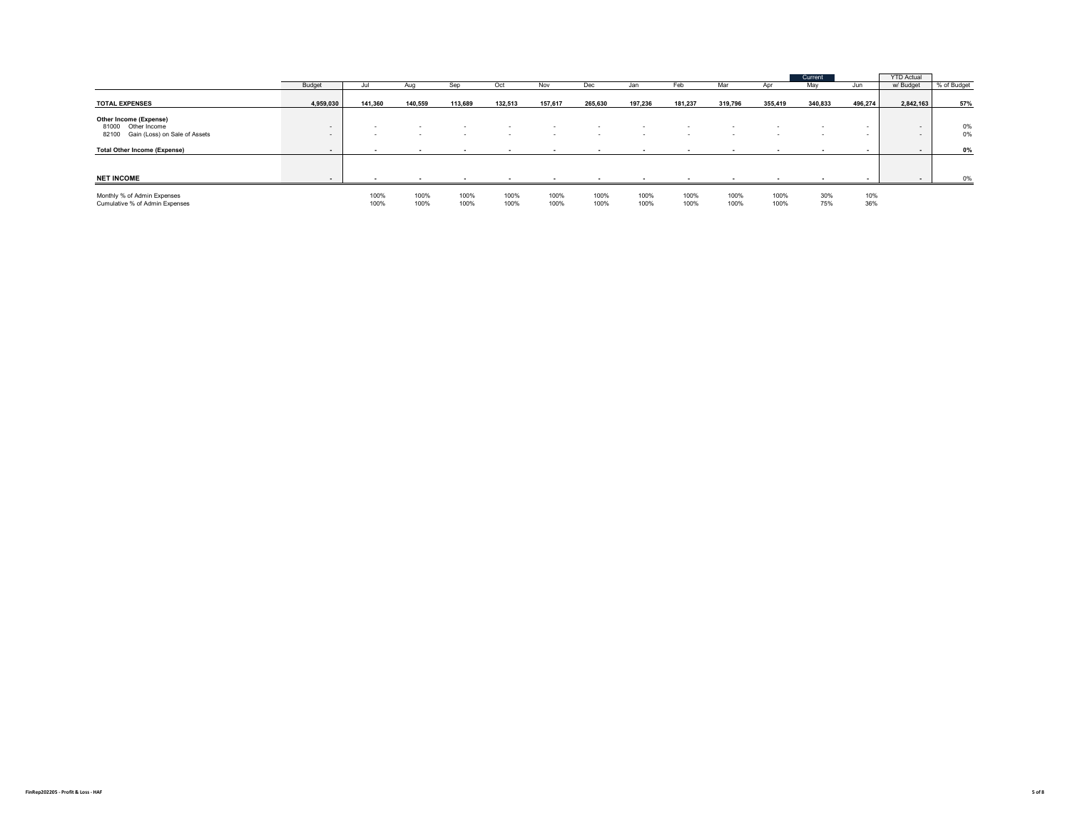|                                                                                        |                  |              |               |               |                  |                  |                  |              |              |                                  |              | Current          |            | <b>YTD Actual</b> |             |
|----------------------------------------------------------------------------------------|------------------|--------------|---------------|---------------|------------------|------------------|------------------|--------------|--------------|----------------------------------|--------------|------------------|------------|-------------------|-------------|
|                                                                                        | Budget           | Jul          | Aug           | Sep           | Oct              | Nov              | Dec              | Jan          | Feb          | Mar                              |              | May              | Jun        | w/ Budget         | % of Budget |
| <b>TOTAL EXPENSES</b>                                                                  | 4,959,030        | 141,360      | 140,559       | 113,689       | 132,513          | 157,617          | 265,630          | 197,236      | 181,237      | 319,796                          | 355,419      | 340,833          | 496,274    | 2,842,163         | 57%         |
| Other Income (Expense)<br>81000 Other Income<br>Gain (Loss) on Sale of Assets<br>82100 | $\sim$<br>$\sim$ | $\sim$       | . .<br>$\sim$ | $\sim$<br>- 1 | $\sim$<br>$\sim$ | $\sim$<br>$\sim$ | $\sim$<br>$\sim$ | $\sim$       | $\sim$       | $\overline{\phantom{a}}$<br>- 11 | $\sim$       | $\sim$<br>$\sim$ | . .        | $-$<br>$\sim$     | 0%<br>0%    |
| <b>Total Other Income (Expense)</b>                                                    |                  |              |               |               |                  |                  |                  |              |              |                                  |              |                  |            |                   | 0%          |
| <b>NET INCOME</b>                                                                      |                  |              |               |               |                  |                  |                  |              |              |                                  |              |                  |            |                   | 0%          |
| Monthly % of Admin Expenses<br>Cumulative % of Admin Expenses                          |                  | 100%<br>100% | 100%<br>100%  | 100%<br>100%  | 100%<br>100%     | 100%<br>100%     | 100%<br>100%     | 100%<br>100% | 100%<br>100% | 100%<br>100%                     | 100%<br>100% | 30%<br>75%       | 10%<br>36% |                   |             |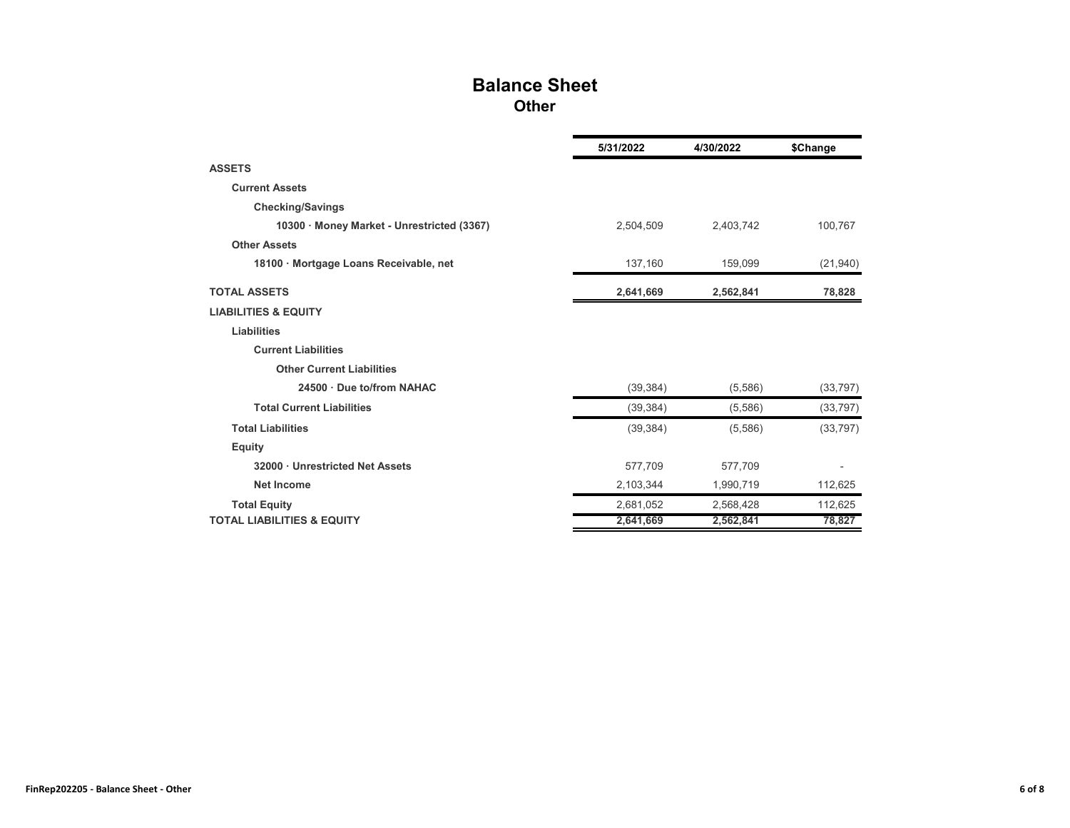## **Balance Sheet Other**

|                                            | 5/31/2022 | 4/30/2022 | \$Change  |
|--------------------------------------------|-----------|-----------|-----------|
| <b>ASSETS</b>                              |           |           |           |
| <b>Current Assets</b>                      |           |           |           |
| <b>Checking/Savings</b>                    |           |           |           |
| 10300 · Money Market - Unrestricted (3367) | 2,504,509 | 2,403,742 | 100,767   |
| <b>Other Assets</b>                        |           |           |           |
| 18100 · Mortgage Loans Receivable, net     | 137,160   | 159,099   | (21, 940) |
| <b>TOTAL ASSETS</b>                        | 2,641,669 | 2,562,841 | 78,828    |
| <b>LIABILITIES &amp; EQUITY</b>            |           |           |           |
| <b>Liabilities</b>                         |           |           |           |
| <b>Current Liabilities</b>                 |           |           |           |
| <b>Other Current Liabilities</b>           |           |           |           |
| 24500 Due to/from NAHAC                    | (39, 384) | (5,586)   | (33, 797) |
| <b>Total Current Liabilities</b>           | (39, 384) | (5,586)   | (33, 797) |
| <b>Total Liabilities</b>                   | (39, 384) | (5,586)   | (33, 797) |
| <b>Equity</b>                              |           |           |           |
| 32000 · Unrestricted Net Assets            | 577,709   | 577.709   |           |
| <b>Net Income</b>                          | 2,103,344 | 1,990,719 | 112,625   |
| <b>Total Equity</b>                        | 2,681,052 | 2,568,428 | 112,625   |
| <b>TOTAL LIABILITIES &amp; EQUITY</b>      | 2,641,669 | 2,562,841 | 78,827    |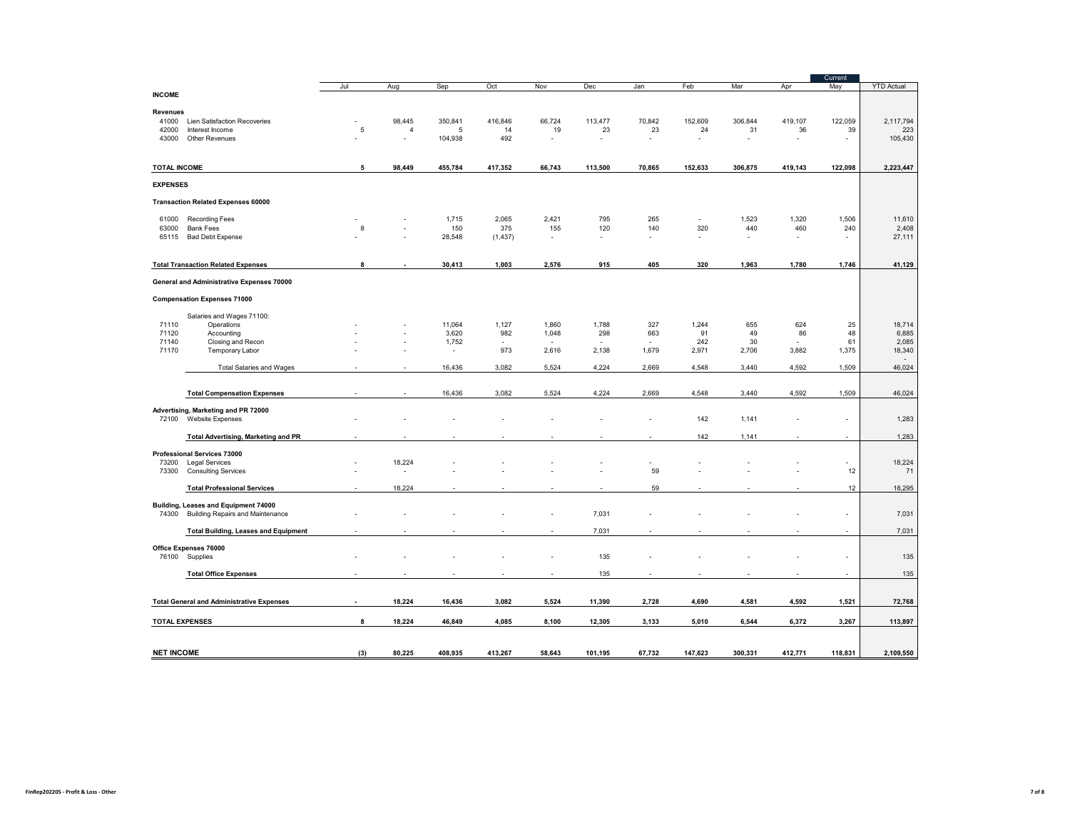|                       |                                                  |             |        |         |          |                          |         |        |         |         |           | Current              |                   |
|-----------------------|--------------------------------------------------|-------------|--------|---------|----------|--------------------------|---------|--------|---------|---------|-----------|----------------------|-------------------|
|                       |                                                  | Jul         | Aug    | Sep     | Oct      | Nov                      | Dec     | Jan    | Feb     | Mar     | Apr       | May                  | <b>YTD Actual</b> |
| <b>INCOME</b>         |                                                  |             |        |         |          |                          |         |        |         |         |           |                      |                   |
| <b>Revenues</b>       |                                                  |             |        |         |          |                          |         |        |         |         |           |                      |                   |
| 41000                 | Lien Satisfaction Recoveries                     |             | 98,445 | 350,841 | 416,846  | 66,724                   | 113,477 | 70,842 | 152,609 | 306,844 | 419,107   | 122,059              | 2,117,794         |
| 42000                 | Interest Income                                  | $\mathbf 5$ | 4      | 5       | 14       | 19                       | 23      | 23     | 24      | 31      | 36        | 39                   | 223               |
| 43000                 | Other Revenues                                   |             |        | 104,938 | 492      |                          | $\sim$  |        |         |         | ÷,        | ÷.                   | 105,430           |
|                       |                                                  |             |        |         |          |                          |         |        |         |         |           |                      |                   |
| <b>TOTAL INCOME</b>   |                                                  | 5           | 98,449 | 455,784 | 417,352  | 66,743                   | 113,500 | 70,865 | 152,633 | 306,875 | 419,143   | 122,098              | 2,223,447         |
| <b>EXPENSES</b>       |                                                  |             |        |         |          |                          |         |        |         |         |           |                      |                   |
|                       | <b>Transaction Related Expenses 60000</b>        |             |        |         |          |                          |         |        |         |         |           |                      |                   |
| 61000                 | <b>Recording Fees</b>                            |             |        | 1,715   | 2,065    | 2,421                    | 795     | 265    | $\sim$  | 1,523   | 1,320     | 1,506                | 11,610            |
| 63000                 | <b>Bank Fees</b>                                 | 8           |        | 150     | 375      | 155                      | 120     | 140    | 320     | 440     | 460       | 240                  | 2,408             |
| 65115                 | <b>Bad Debt Expense</b>                          |             |        | 28,548  | (1, 437) | $\overline{\phantom{a}}$ | ÷       |        | $\sim$  | ÷       | $\bar{a}$ |                      | 27,111            |
|                       |                                                  |             |        |         |          |                          |         |        |         |         |           |                      |                   |
|                       | <b>Total Transaction Related Expenses</b>        | 8           |        | 30,413  | 1,003    | 2,576                    | 915     | 405    | 320     | 1,963   | 1,780     | 1,746                | 41,129            |
|                       | General and Administrative Expenses 70000        |             |        |         |          |                          |         |        |         |         |           |                      |                   |
|                       | <b>Compensation Expenses 71000</b>               |             |        |         |          |                          |         |        |         |         |           |                      |                   |
|                       | Salaries and Wages 71100:                        |             |        |         |          |                          |         |        |         |         |           |                      |                   |
| 71110                 | Operations                                       |             |        | 11,064  | 1,127    | 1,860                    | 1,788   | 327    | 1,244   | 655     | 624       | 25                   | 18,714            |
| 71120                 | Accounting                                       |             |        | 3,620   | 982      | 1,048                    | 298     | 663    | 91      | 49      | 86        | 48                   | 6,885             |
| 71140                 | Closing and Recon                                |             |        | 1,752   | ÷        |                          | ÷       |        | 242     | 30      | ÷.        | 61                   | 2,085             |
| 71170                 | Temporary Labor                                  |             |        | $\sim$  | 973      | 2,616                    | 2,138   | 1,679  | 2,971   | 2,706   | 3,882     | 1,375                | 18,340            |
|                       | <b>Total Salaries and Wages</b>                  |             |        | 16,436  | 3,082    | 5,524                    | 4,224   | 2,669  | 4,548   | 3,440   | 4,592     | 1,509                | 46,024            |
|                       |                                                  |             |        |         |          |                          |         |        |         |         |           |                      |                   |
|                       |                                                  |             |        |         |          |                          |         |        |         |         |           |                      |                   |
|                       | <b>Total Compensation Expenses</b>               |             |        | 16,436  | 3,082    | 5,524                    | 4,224   | 2,669  | 4,548   | 3,440   | 4,592     | 1,509                | 46,024            |
|                       | Advertising, Marketing and PR 72000              |             |        |         |          |                          |         |        |         |         |           |                      |                   |
|                       | 72100 Website Expenses                           |             |        |         |          |                          |         |        | 142     | 1,141   |           | $\ddot{\phantom{1}}$ | 1,283             |
|                       |                                                  |             |        |         |          |                          |         |        | 142     | 1,141   |           |                      | 1,283             |
|                       | <b>Total Advertising, Marketing and PR</b>       |             |        |         |          |                          |         |        |         |         |           |                      |                   |
|                       | Professional Services 73000                      |             |        |         |          |                          |         |        |         |         |           |                      |                   |
| 73200                 | <b>Legal Services</b>                            |             | 18,224 |         |          |                          |         |        |         |         |           |                      | 18,224            |
| 73300                 | <b>Consulting Services</b>                       |             | ٠      |         |          |                          |         | 59     |         |         |           | 12                   | 71                |
|                       | <b>Total Professional Services</b>               |             | 18,224 |         |          |                          |         | 59     |         |         |           | 12                   | 18,295            |
|                       |                                                  |             |        |         |          |                          |         |        |         |         |           |                      |                   |
|                       | Building, Leases and Equipment 74000             |             |        |         |          |                          |         |        |         |         |           |                      |                   |
|                       | 74300 Building Repairs and Maintenance           |             |        |         |          |                          | 7,031   |        |         |         |           | ÷                    | 7,031             |
|                       | <b>Total Building, Leases and Equipment</b>      |             |        |         |          |                          | 7,031   |        |         |         |           |                      | 7,031             |
|                       | Office Expenses 76000                            |             |        |         |          |                          |         |        |         |         |           |                      |                   |
|                       | 76100 Supplies                                   |             |        |         |          |                          | 135     |        |         |         |           | ÷,                   | 135               |
|                       |                                                  |             |        |         |          |                          |         |        |         |         |           |                      |                   |
|                       | <b>Total Office Expenses</b>                     |             |        |         |          |                          | 135     |        |         |         |           |                      | 135               |
|                       | <b>Total General and Administrative Expenses</b> |             | 18,224 | 16,436  | 3,082    | 5,524                    | 11,390  | 2,728  | 4,690   | 4,581   | 4,592     | 1,521                | 72,768            |
|                       |                                                  |             |        |         |          |                          |         |        |         |         |           |                      |                   |
| <b>TOTAL EXPENSES</b> |                                                  | 8           | 18,224 | 46,849  | 4,085    | 8,100                    | 12,305  | 3,133  | 5,010   | 6,544   | 6,372     | 3,267                | 113,897           |
|                       |                                                  |             |        |         |          |                          |         |        |         |         |           |                      |                   |
|                       |                                                  |             |        |         |          |                          |         |        |         |         |           |                      |                   |
| <b>NET INCOME</b>     |                                                  | (3)         | 80,225 | 408,935 | 413,267  | 58,643                   | 101,195 | 67,732 | 147,623 | 300,331 | 412,771   | 118,831              | 2,109,550         |